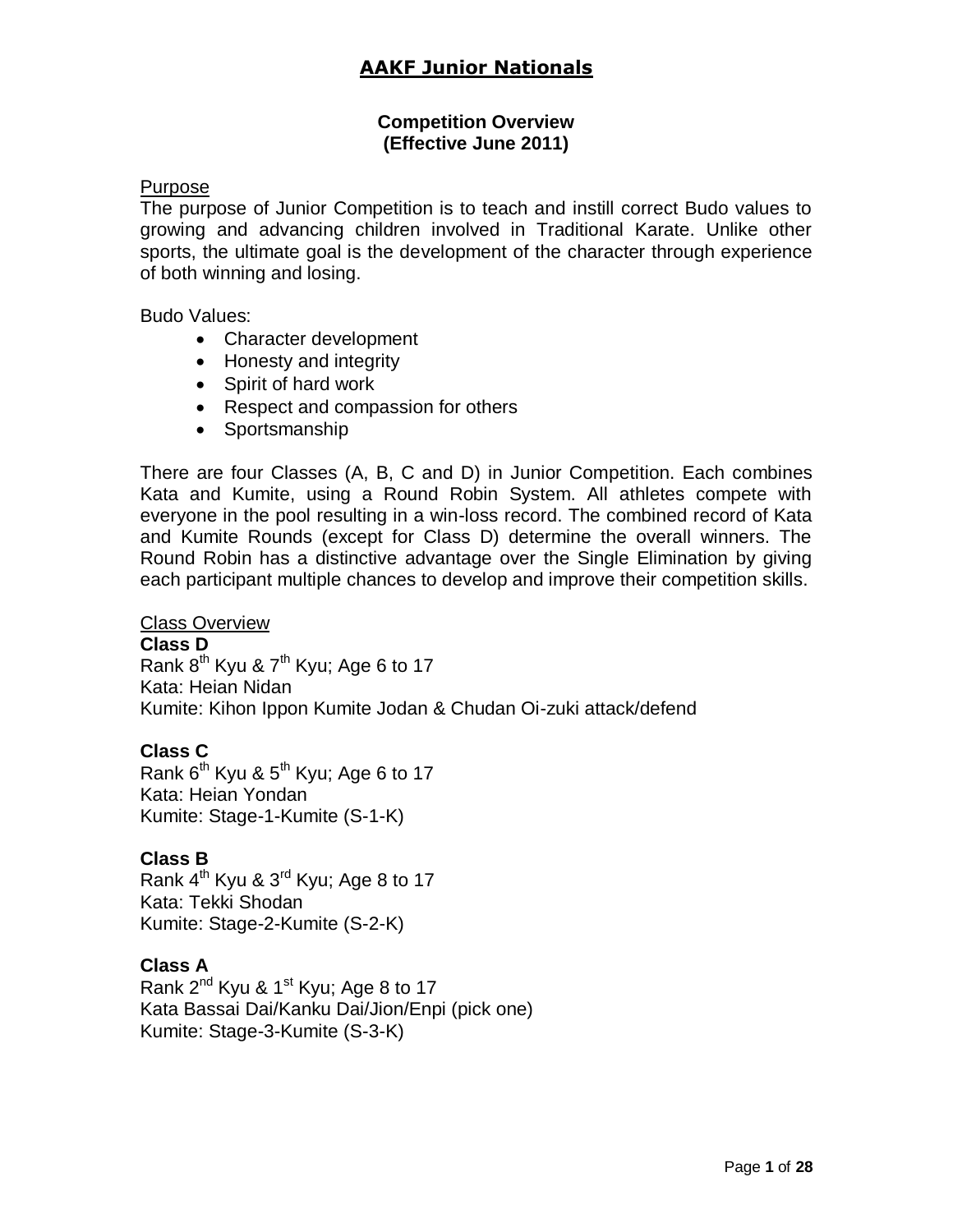#### **Competition Overview (Effective June 2011)**

#### Purpose

The purpose of Junior Competition is to teach and instill correct Budo values to growing and advancing children involved in Traditional Karate. Unlike other sports, the ultimate goal is the development of the character through experience of both winning and losing.

Budo Values:

- Character development
- Honesty and integrity
- Spirit of hard work
- Respect and compassion for others
- Sportsmanship

There are four Classes (A, B, C and D) in Junior Competition. Each combines Kata and Kumite, using a Round Robin System. All athletes compete with everyone in the pool resulting in a win-loss record. The combined record of Kata and Kumite Rounds (except for Class D) determine the overall winners. The Round Robin has a distinctive advantage over the Single Elimination by giving each participant multiple chances to develop and improve their competition skills.

#### Class Overview

#### **Class D**

Rank  $8^{th}$  Kyu &  $7^{th}$  Kyu; Age 6 to 17 Kata: Heian Nidan Kumite: Kihon Ippon Kumite Jodan & Chudan Oi-zuki attack/defend

#### **Class C**

Rank  $6^{th}$  Kyu &  $5^{th}$  Kyu; Age 6 to 17 Kata: Heian Yondan Kumite: Stage-1-Kumite (S-1-K)

#### **Class B**

Rank  $4<sup>th</sup>$  Kyu &  $3<sup>rd</sup>$  Kyu; Age 8 to 17 Kata: Tekki Shodan Kumite: Stage-2-Kumite (S-2-K)

#### **Class A**

Rank 2<sup>nd</sup> Kyu & 1<sup>st</sup> Kyu; Age 8 to 17 Kata Bassai Dai/Kanku Dai/Jion/Enpi (pick one) Kumite: Stage-3-Kumite (S-3-K)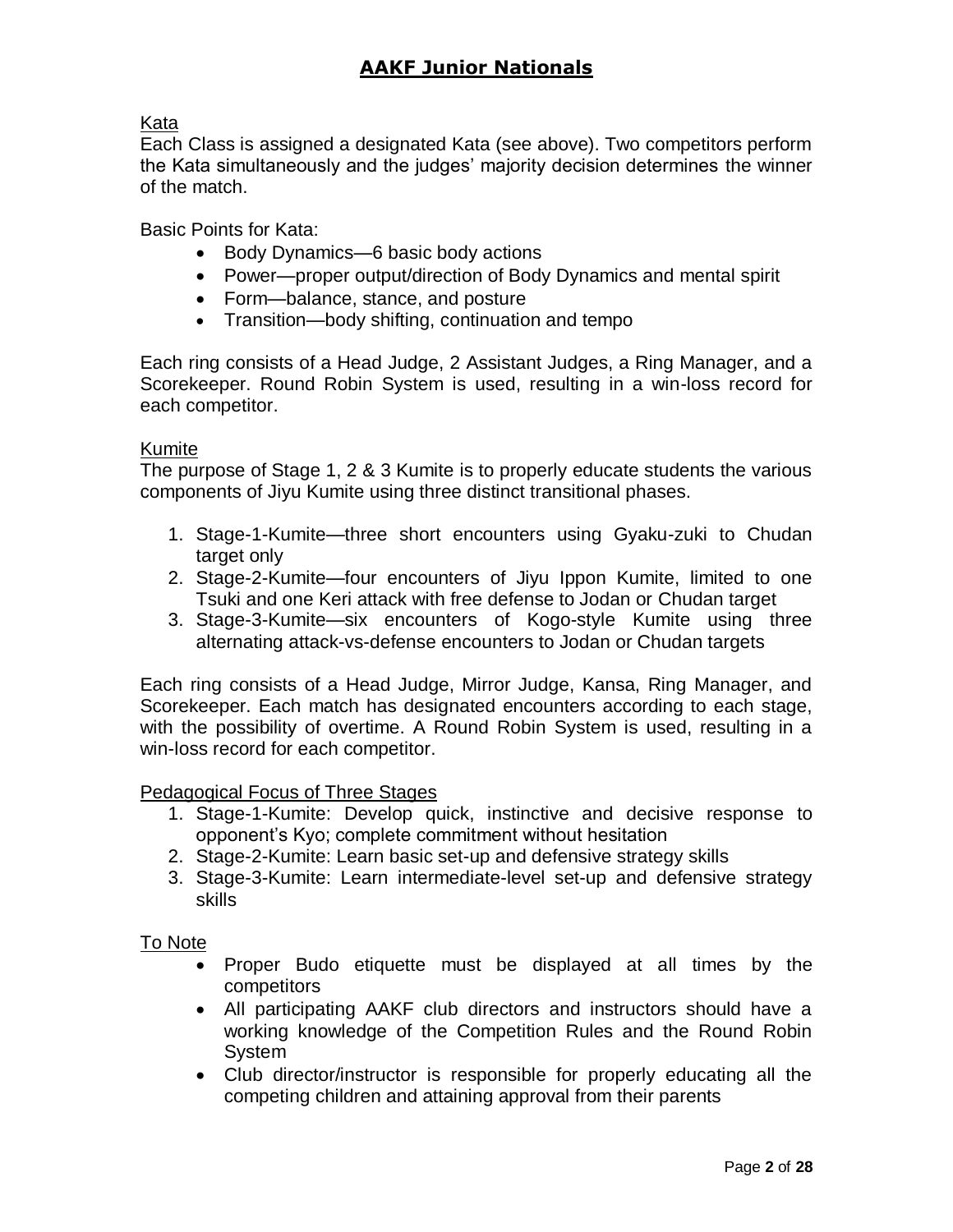### Kata

Each Class is assigned a designated Kata (see above). Two competitors perform the Kata simultaneously and the judges' majority decision determines the winner of the match.

Basic Points for Kata:

- Body Dynamics—6 basic body actions
- Power—proper output/direction of Body Dynamics and mental spirit
- Form—balance, stance, and posture
- Transition—body shifting, continuation and tempo

Each ring consists of a Head Judge, 2 Assistant Judges, a Ring Manager, and a Scorekeeper. Round Robin System is used, resulting in a win-loss record for each competitor.

#### Kumite

The purpose of Stage 1, 2 & 3 Kumite is to properly educate students the various components of Jiyu Kumite using three distinct transitional phases.

- 1. Stage-1-Kumite—three short encounters using Gyaku-zuki to Chudan target only
- 2. Stage-2-Kumite—four encounters of Jiyu Ippon Kumite, limited to one Tsuki and one Keri attack with free defense to Jodan or Chudan target
- 3. Stage-3-Kumite—six encounters of Kogo-style Kumite using three alternating attack-vs-defense encounters to Jodan or Chudan targets

Each ring consists of a Head Judge, Mirror Judge, Kansa, Ring Manager, and Scorekeeper. Each match has designated encounters according to each stage, with the possibility of overtime. A Round Robin System is used, resulting in a win-loss record for each competitor.

#### Pedagogical Focus of Three Stages

- 1. Stage-1-Kumite: Develop quick, instinctive and decisive response to opponent's Kyo; complete commitment without hesitation
- 2. Stage-2-Kumite: Learn basic set-up and defensive strategy skills
- 3. Stage-3-Kumite: Learn intermediate-level set-up and defensive strategy skills

#### To Note

- Proper Budo etiquette must be displayed at all times by the competitors
- All participating AAKF club directors and instructors should have a working knowledge of the Competition Rules and the Round Robin System
- Club director/instructor is responsible for properly educating all the competing children and attaining approval from their parents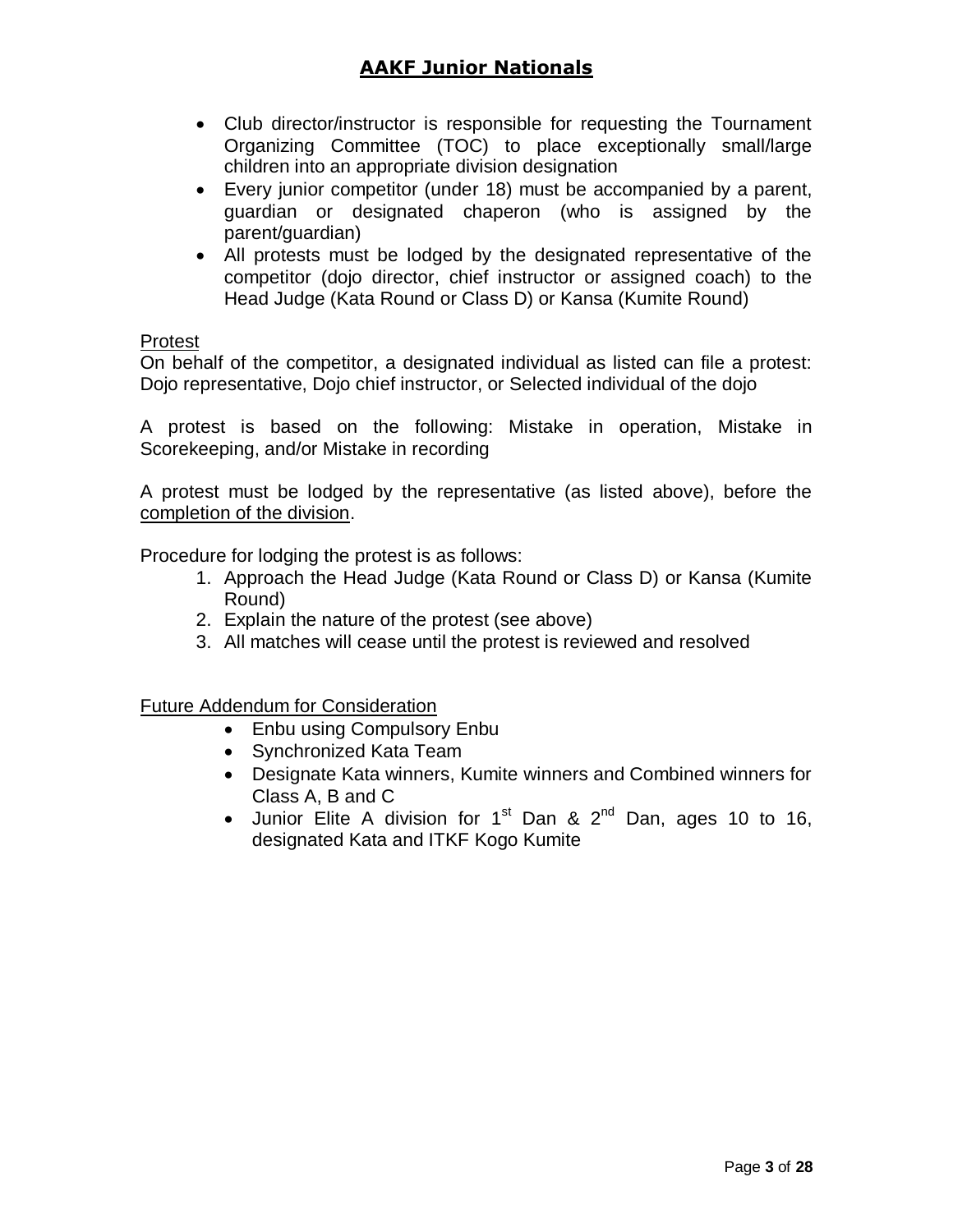- Club director/instructor is responsible for requesting the Tournament Organizing Committee (TOC) to place exceptionally small/large children into an appropriate division designation
- Every junior competitor (under 18) must be accompanied by a parent, guardian or designated chaperon (who is assigned by the parent/guardian)
- All protests must be lodged by the designated representative of the competitor (dojo director, chief instructor or assigned coach) to the Head Judge (Kata Round or Class D) or Kansa (Kumite Round)

#### Protest

On behalf of the competitor, a designated individual as listed can file a protest: Dojo representative, Dojo chief instructor, or Selected individual of the dojo

A protest is based on the following: Mistake in operation, Mistake in Scorekeeping, and/or Mistake in recording

A protest must be lodged by the representative (as listed above), before the completion of the division.

Procedure for lodging the protest is as follows:

- 1. Approach the Head Judge (Kata Round or Class D) or Kansa (Kumite Round)
- 2. Explain the nature of the protest (see above)
- 3. All matches will cease until the protest is reviewed and resolved

Future Addendum for Consideration

- Enbu using Compulsory Enbu
- Synchronized Kata Team
- Designate Kata winners, Kumite winners and Combined winners for Class A, B and C
- Junior Elite A division for 1<sup>st</sup> Dan & 2<sup>nd</sup> Dan, ages 10 to 16, designated Kata and ITKF Kogo Kumite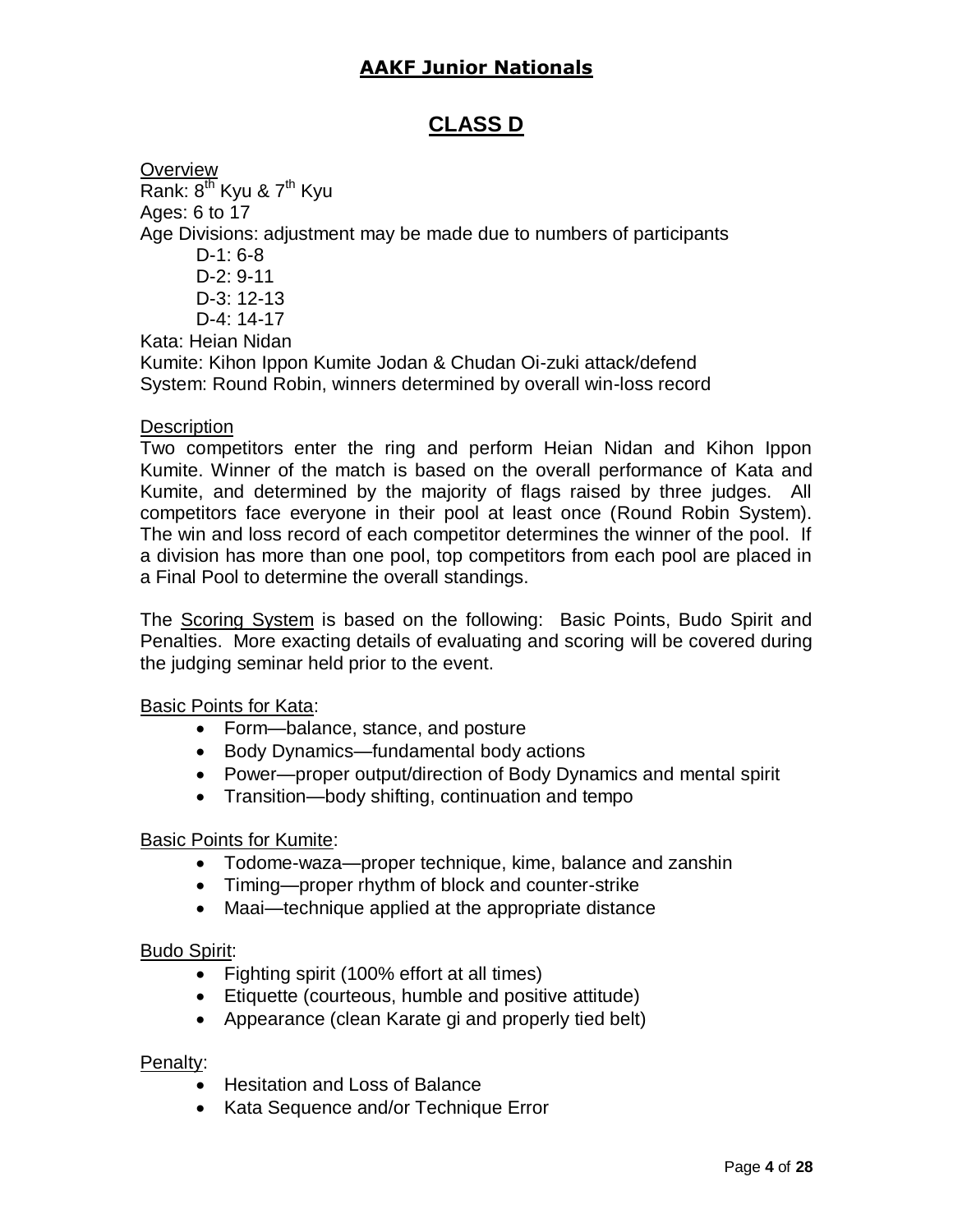### **CLASS D**

**Overview** Rank:  $8^{th}$  Kyu &  $7^{th}$  Kyu Ages: 6 to 17 Age Divisions: adjustment may be made due to numbers of participants D-1: 6-8 D-2: 9-11 D-3: 12-13 D-4: 14-17 Kata: Heian Nidan Kumite: Kihon Ippon Kumite Jodan & Chudan Oi-zuki attack/defend System: Round Robin, winners determined by overall win-loss record

#### **Description**

Two competitors enter the ring and perform Heian Nidan and Kihon Ippon Kumite. Winner of the match is based on the overall performance of Kata and Kumite, and determined by the majority of flags raised by three judges. All competitors face everyone in their pool at least once (Round Robin System). The win and loss record of each competitor determines the winner of the pool. If a division has more than one pool, top competitors from each pool are placed in a Final Pool to determine the overall standings.

The Scoring System is based on the following: Basic Points, Budo Spirit and Penalties. More exacting details of evaluating and scoring will be covered during the judging seminar held prior to the event.

#### Basic Points for Kata:

- Form—balance, stance, and posture
- Body Dynamics—fundamental body actions
- Power—proper output/direction of Body Dynamics and mental spirit
- Transition—body shifting, continuation and tempo

#### Basic Points for Kumite:

- Todome-waza—proper technique, kime, balance and zanshin
- Timing—proper rhythm of block and counter-strike
- Maai—technique applied at the appropriate distance

#### Budo Spirit:

- Fighting spirit (100% effort at all times)
- Etiquette (courteous, humble and positive attitude)
- Appearance (clean Karate gi and properly tied belt)

#### Penalty:

- Hesitation and Loss of Balance
- Kata Sequence and/or Technique Error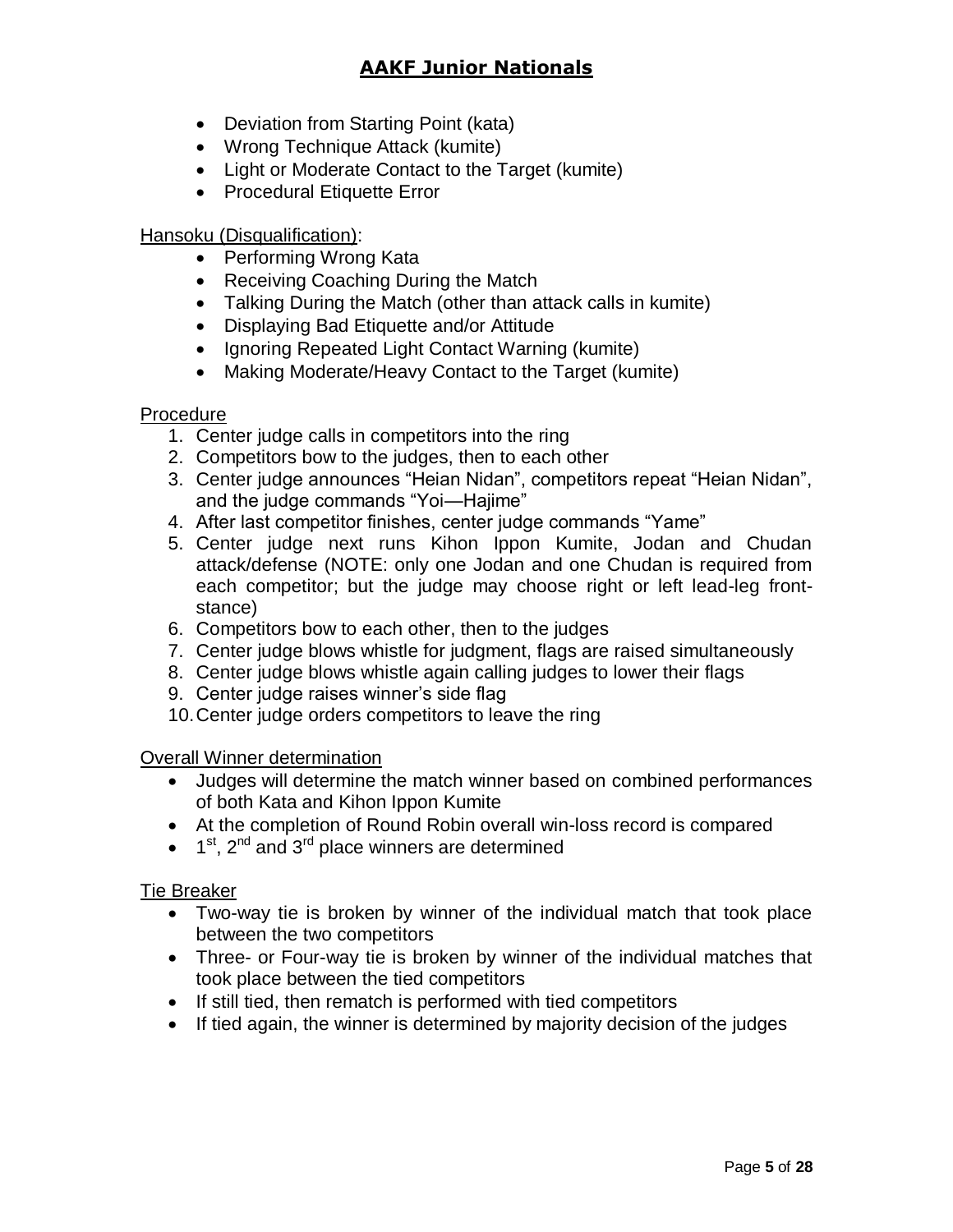- Deviation from Starting Point (kata)
- Wrong Technique Attack (kumite)
- Light or Moderate Contact to the Target (kumite)
- Procedural Etiquette Error

#### Hansoku (Disqualification):

- Performing Wrong Kata
- Receiving Coaching During the Match
- Talking During the Match (other than attack calls in kumite)
- Displaying Bad Etiquette and/or Attitude
- Ignoring Repeated Light Contact Warning (kumite)
- Making Moderate/Heavy Contact to the Target (kumite)

#### **Procedure**

- 1. Center judge calls in competitors into the ring
- 2. Competitors bow to the judges, then to each other
- 3. Center judge announces "Heian Nidan", competitors repeat "Heian Nidan", and the judge commands "Yoi—Hajime"
- 4. After last competitor finishes, center judge commands "Yame"
- 5. Center judge next runs Kihon Ippon Kumite, Jodan and Chudan attack/defense (NOTE: only one Jodan and one Chudan is required from each competitor; but the judge may choose right or left lead-leg frontstance)
- 6. Competitors bow to each other, then to the judges
- 7. Center judge blows whistle for judgment, flags are raised simultaneously
- 8. Center judge blows whistle again calling judges to lower their flags
- 9. Center judge raises winner's side flag
- 10.Center judge orders competitors to leave the ring

#### Overall Winner determination

- Judges will determine the match winner based on combined performances of both Kata and Kihon Ippon Kumite
- At the completion of Round Robin overall win-loss record is compared
- $\bullet$  1<sup>st</sup>, 2<sup>nd</sup> and 3<sup>rd</sup> place winners are determined

#### Tie Breaker

- Two-way tie is broken by winner of the individual match that took place between the two competitors
- Three- or Four-way tie is broken by winner of the individual matches that took place between the tied competitors
- If still tied, then rematch is performed with tied competitors
- If tied again, the winner is determined by majority decision of the judges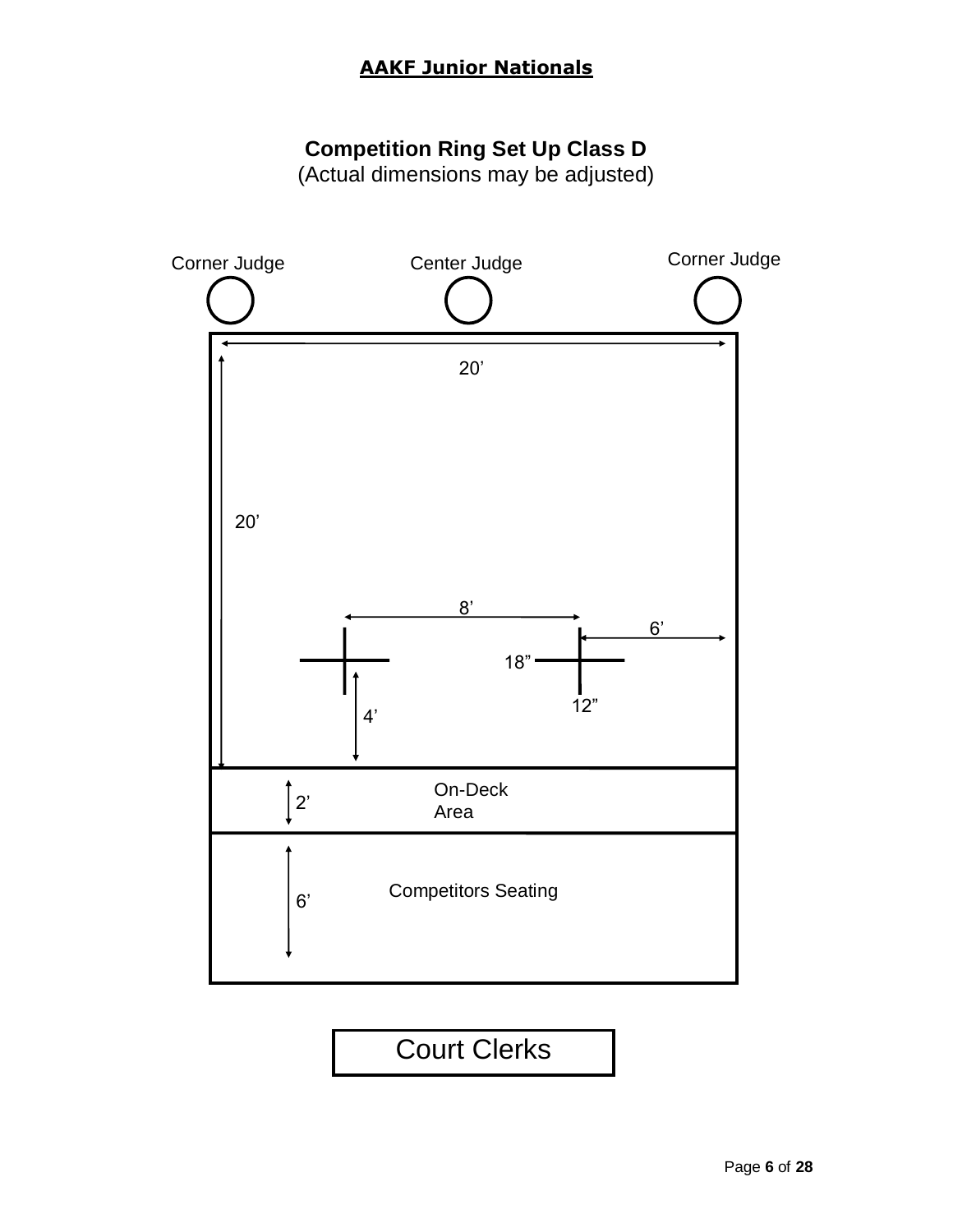# **Competition Ring Set Up Class D**

(Actual dimensions may be adjusted)

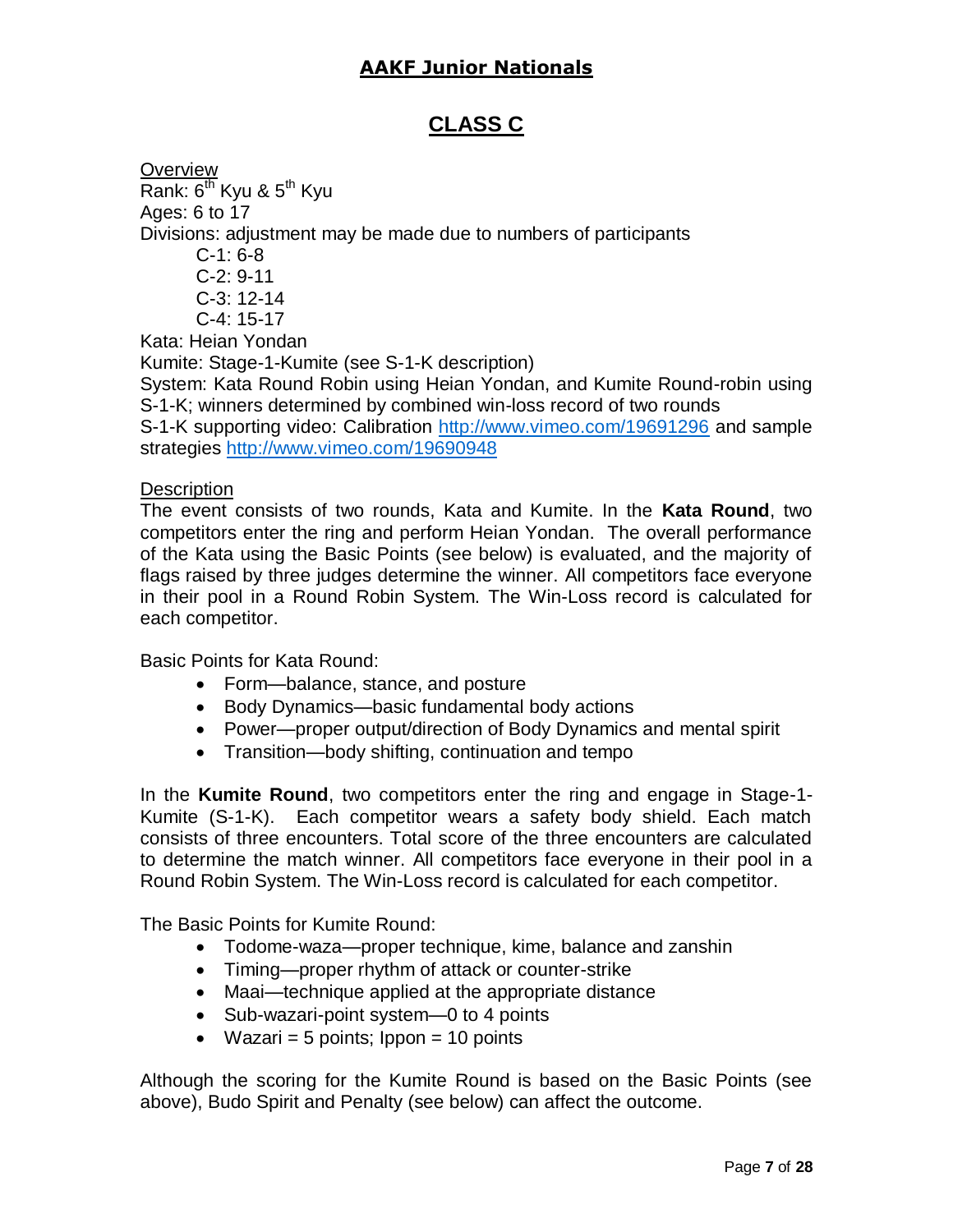### **CLASS C**

**Overview** Rank:  $6^{th}$  Kyu &  $5^{th}$  Kyu Ages: 6 to 17 Divisions: adjustment may be made due to numbers of participants  $C-1: 6-8$  C-2: 9-11 C-3: 12-14 C-4: 15-17 Kata: Heian Yondan Kumite: Stage-1-Kumite (see S-1-K description) System: Kata Round Robin using Heian Yondan, and Kumite Round-robin using S-1-K; winners determined by combined win-loss record of two rounds S-1-K supporting video: Calibration<http://www.vimeo.com/19691296> and sample strategies<http://www.vimeo.com/19690948>

#### **Description**

The event consists of two rounds, Kata and Kumite. In the **Kata Round**, two competitors enter the ring and perform Heian Yondan. The overall performance of the Kata using the Basic Points (see below) is evaluated, and the majority of flags raised by three judges determine the winner. All competitors face everyone in their pool in a Round Robin System. The Win-Loss record is calculated for each competitor.

Basic Points for Kata Round:

- Form—balance, stance, and posture
- Body Dynamics—basic fundamental body actions
- Power—proper output/direction of Body Dynamics and mental spirit
- Transition—body shifting, continuation and tempo

In the **Kumite Round**, two competitors enter the ring and engage in Stage-1- Kumite (S-1-K). Each competitor wears a safety body shield. Each match consists of three encounters. Total score of the three encounters are calculated to determine the match winner. All competitors face everyone in their pool in a Round Robin System. The Win-Loss record is calculated for each competitor.

The Basic Points for Kumite Round:

- Todome-waza—proper technique, kime, balance and zanshin
- Timing—proper rhythm of attack or counter-strike
- Maai—technique applied at the appropriate distance
- Sub-wazari-point system—0 to 4 points
- Wazari = 5 points;  $10$  points = 10 points

Although the scoring for the Kumite Round is based on the Basic Points (see above), Budo Spirit and Penalty (see below) can affect the outcome.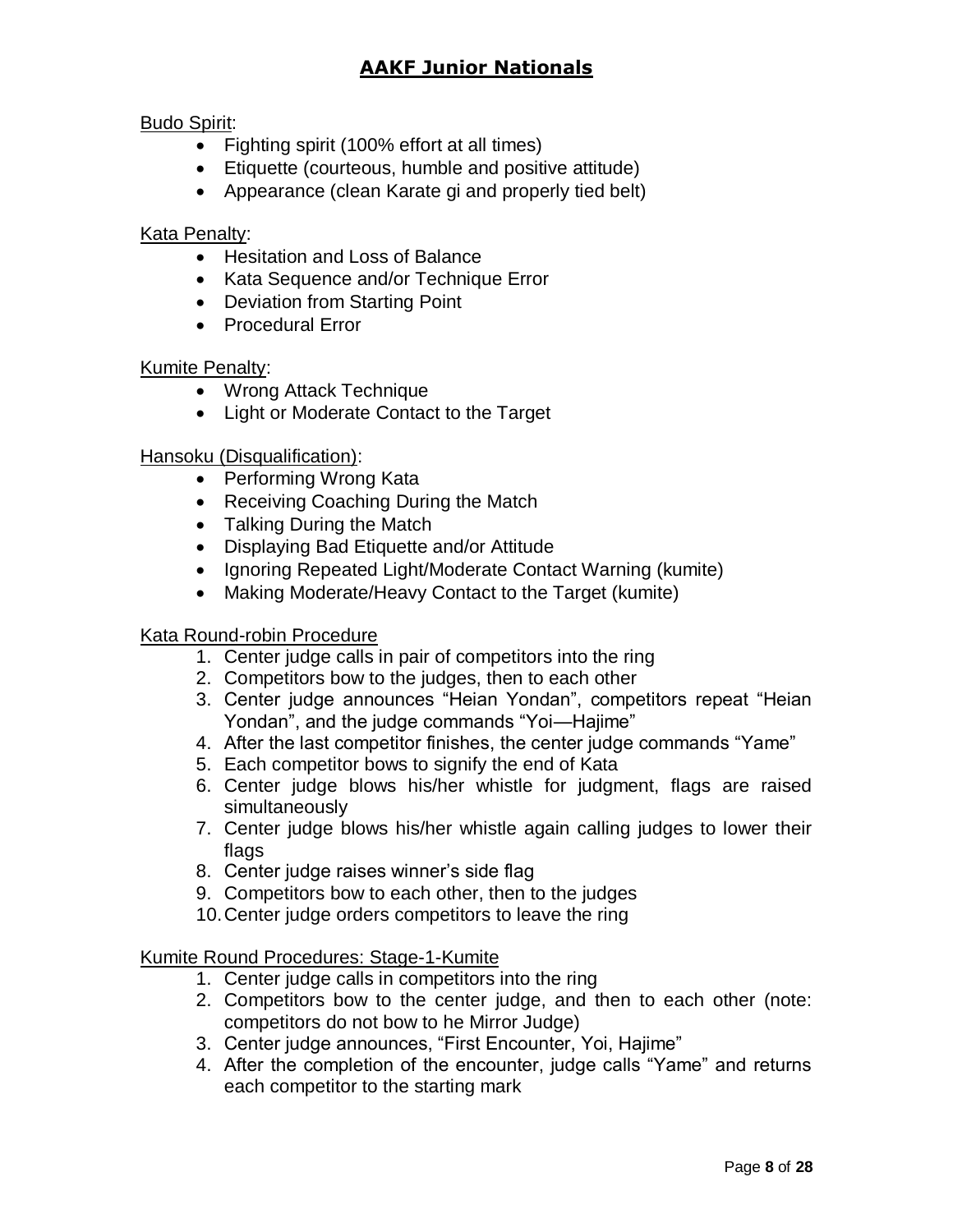#### Budo Spirit:

- Fighting spirit (100% effort at all times)
- Etiquette (courteous, humble and positive attitude)
- Appearance (clean Karate gi and properly tied belt)

#### Kata Penalty:

- Hesitation and Loss of Balance
- Kata Sequence and/or Technique Error
- Deviation from Starting Point
- Procedural Error

#### **Kumite Penalty:**

- Wrong Attack Technique
- Light or Moderate Contact to the Target

#### Hansoku (Disqualification):

- Performing Wrong Kata
- Receiving Coaching During the Match
- Talking During the Match
- Displaying Bad Etiquette and/or Attitude
- Ignoring Repeated Light/Moderate Contact Warning (kumite)
- Making Moderate/Heavy Contact to the Target (kumite)

#### Kata Round-robin Procedure

- 1. Center judge calls in pair of competitors into the ring
- 2. Competitors bow to the judges, then to each other
- 3. Center judge announces "Heian Yondan", competitors repeat "Heian Yondan", and the judge commands "Yoi—Hajime"
- 4. After the last competitor finishes, the center judge commands "Yame"
- 5. Each competitor bows to signify the end of Kata
- 6. Center judge blows his/her whistle for judgment, flags are raised simultaneously
- 7. Center judge blows his/her whistle again calling judges to lower their flags
- 8. Center judge raises winner's side flag
- 9. Competitors bow to each other, then to the judges
- 10.Center judge orders competitors to leave the ring

#### Kumite Round Procedures: Stage-1-Kumite

- 1. Center judge calls in competitors into the ring
- 2. Competitors bow to the center judge, and then to each other (note: competitors do not bow to he Mirror Judge)
- 3. Center judge announces, "First Encounter, Yoi, Hajime"
- 4. After the completion of the encounter, judge calls "Yame" and returns each competitor to the starting mark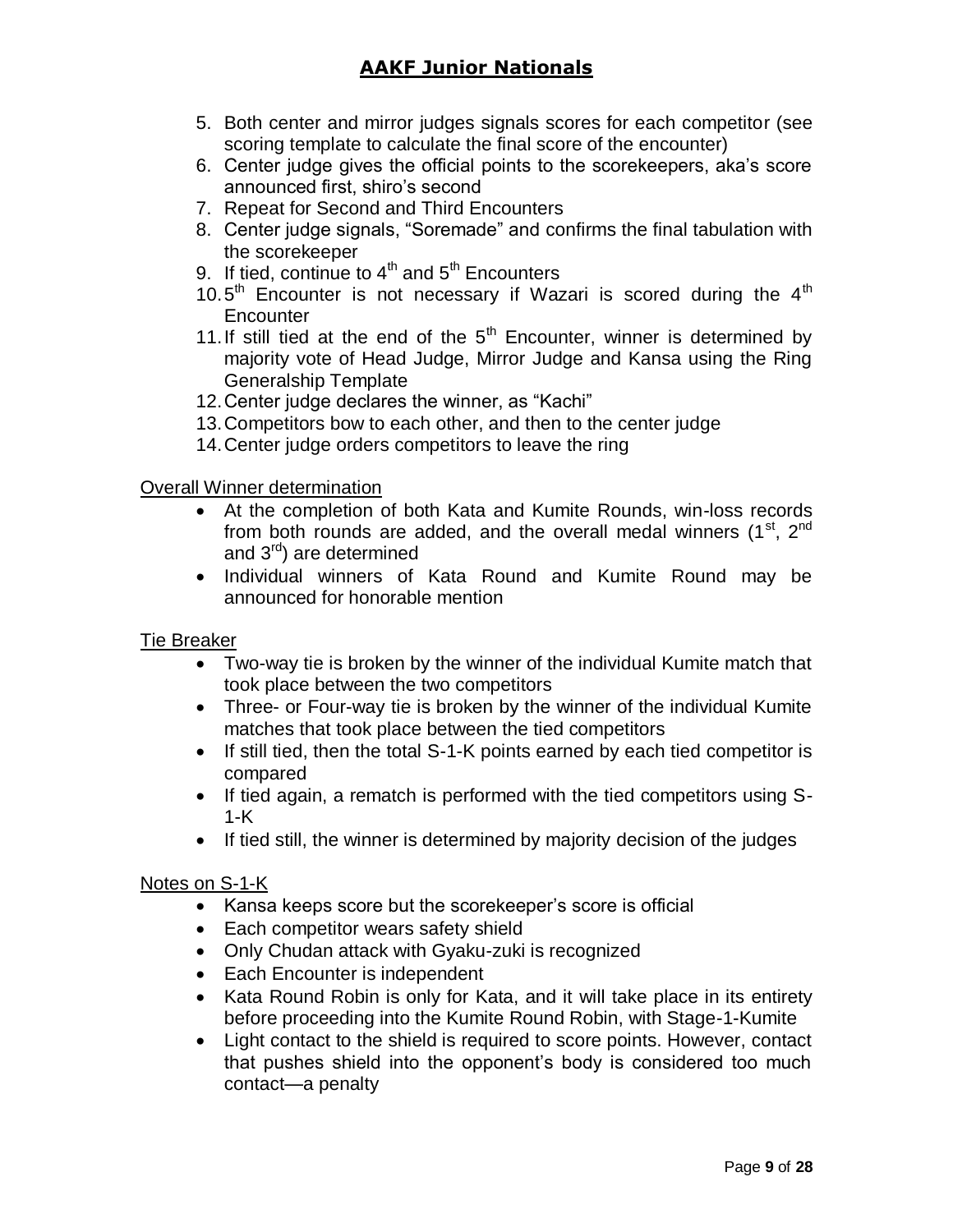- 5. Both center and mirror judges signals scores for each competitor (see scoring template to calculate the final score of the encounter)
- 6. Center judge gives the official points to the scorekeepers, aka's score announced first, shiro's second
- 7. Repeat for Second and Third Encounters
- 8. Center judge signals, "Soremade" and confirms the final tabulation with the scorekeeper
- 9. If tied, continue to  $4<sup>th</sup>$  and  $5<sup>th</sup>$  Encounters
- 10.5<sup>th</sup> Encounter is not necessary if Wazari is scored during the  $4<sup>th</sup>$ **Encounter**
- 11. If still tied at the end of the  $5<sup>th</sup>$  Encounter, winner is determined by majority vote of Head Judge, Mirror Judge and Kansa using the Ring Generalship Template
- 12.Center judge declares the winner, as "Kachi"
- 13.Competitors bow to each other, and then to the center judge
- 14.Center judge orders competitors to leave the ring

#### Overall Winner determination

- At the completion of both Kata and Kumite Rounds, win-loss records from both rounds are added, and the overall medal winners  $(1<sup>st</sup>, 2<sup>nd</sup>)$ and 3rd) are determined
- Individual winners of Kata Round and Kumite Round may be announced for honorable mention

#### Tie Breaker

- Two-way tie is broken by the winner of the individual Kumite match that took place between the two competitors
- Three- or Four-way tie is broken by the winner of the individual Kumite matches that took place between the tied competitors
- If still tied, then the total S-1-K points earned by each tied competitor is compared
- If tied again, a rematch is performed with the tied competitors using S-1-K
- If tied still, the winner is determined by majority decision of the judges

#### Notes on S-1-K

- Kansa keeps score but the scorekeeper's score is official
- Each competitor wears safety shield
- Only Chudan attack with Gyaku-zuki is recognized
- Each Encounter is independent
- Kata Round Robin is only for Kata, and it will take place in its entirety before proceeding into the Kumite Round Robin, with Stage-1-Kumite
- Light contact to the shield is required to score points. However, contact that pushes shield into the opponent's body is considered too much contact—a penalty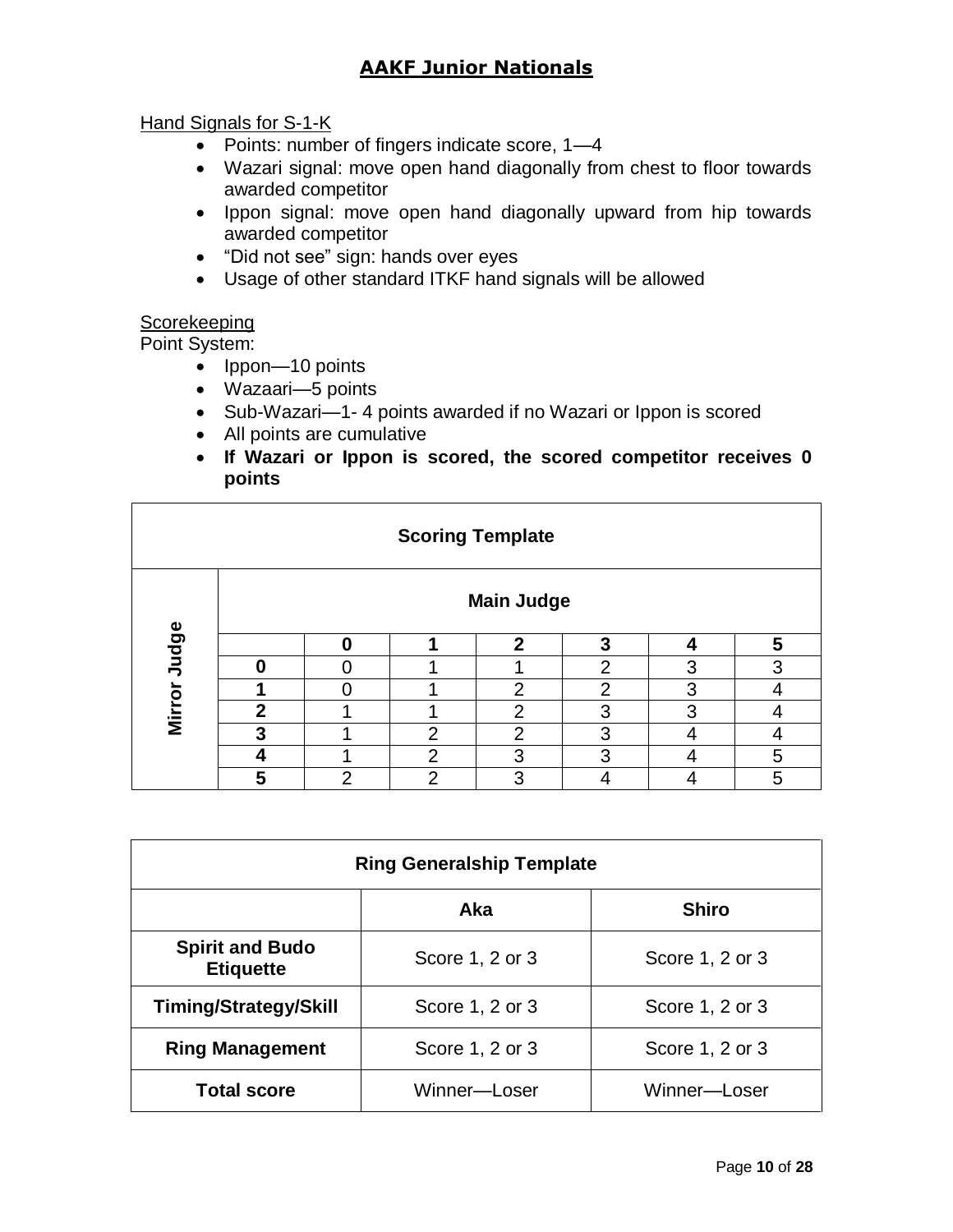#### Hand Signals for S-1-K

- Points: number of fingers indicate score, 1-4
- Wazari signal: move open hand diagonally from chest to floor towards awarded competitor
- Ippon signal: move open hand diagonally upward from hip towards awarded competitor
- "Did not see" sign: hands over eyes
- Usage of other standard ITKF hand signals will be allowed

#### **Scorekeeping**

Point System:

- Ippon—10 points
- Wazaari—5 points
- Sub-Wazari—1- 4 points awarded if no Wazari or Ippon is scored
- All points are cumulative
- **If Wazari or Ippon is scored, the scored competitor receives 0 points**

| <b>Scoring Template</b> |                   |   |                |              |   |   |   |
|-------------------------|-------------------|---|----------------|--------------|---|---|---|
|                         | <b>Main Judge</b> |   |                |              |   |   |   |
| Mirror Judge            |                   | Ω |                | $\mathbf{c}$ | 3 |   | 5 |
|                         | Λ                 |   |                |              | ◠ | 3 | 3 |
|                         |                   |   |                | 2            | ◠ | 3 |   |
|                         | $\overline{2}$    |   |                | 2            | 3 | З |   |
|                         | 3                 |   | っ              | ⌒            | 3 |   |   |
|                         |                   |   | $\overline{2}$ | 3            | 3 |   | 5 |
|                         | 5                 | າ | $\overline{2}$ | 3            |   |   | 5 |

| <b>Ring Generalship Template</b>           |                 |                 |  |  |  |
|--------------------------------------------|-----------------|-----------------|--|--|--|
| <b>Shiro</b><br>Aka                        |                 |                 |  |  |  |
| <b>Spirit and Budo</b><br><b>Etiquette</b> | Score 1, 2 or 3 | Score 1, 2 or 3 |  |  |  |
| <b>Timing/Strategy/Skill</b>               | Score 1, 2 or 3 | Score 1, 2 or 3 |  |  |  |
| <b>Ring Management</b>                     | Score 1, 2 or 3 | Score 1, 2 or 3 |  |  |  |
| <b>Total score</b>                         | Winner—Loser    | Winner—Loser    |  |  |  |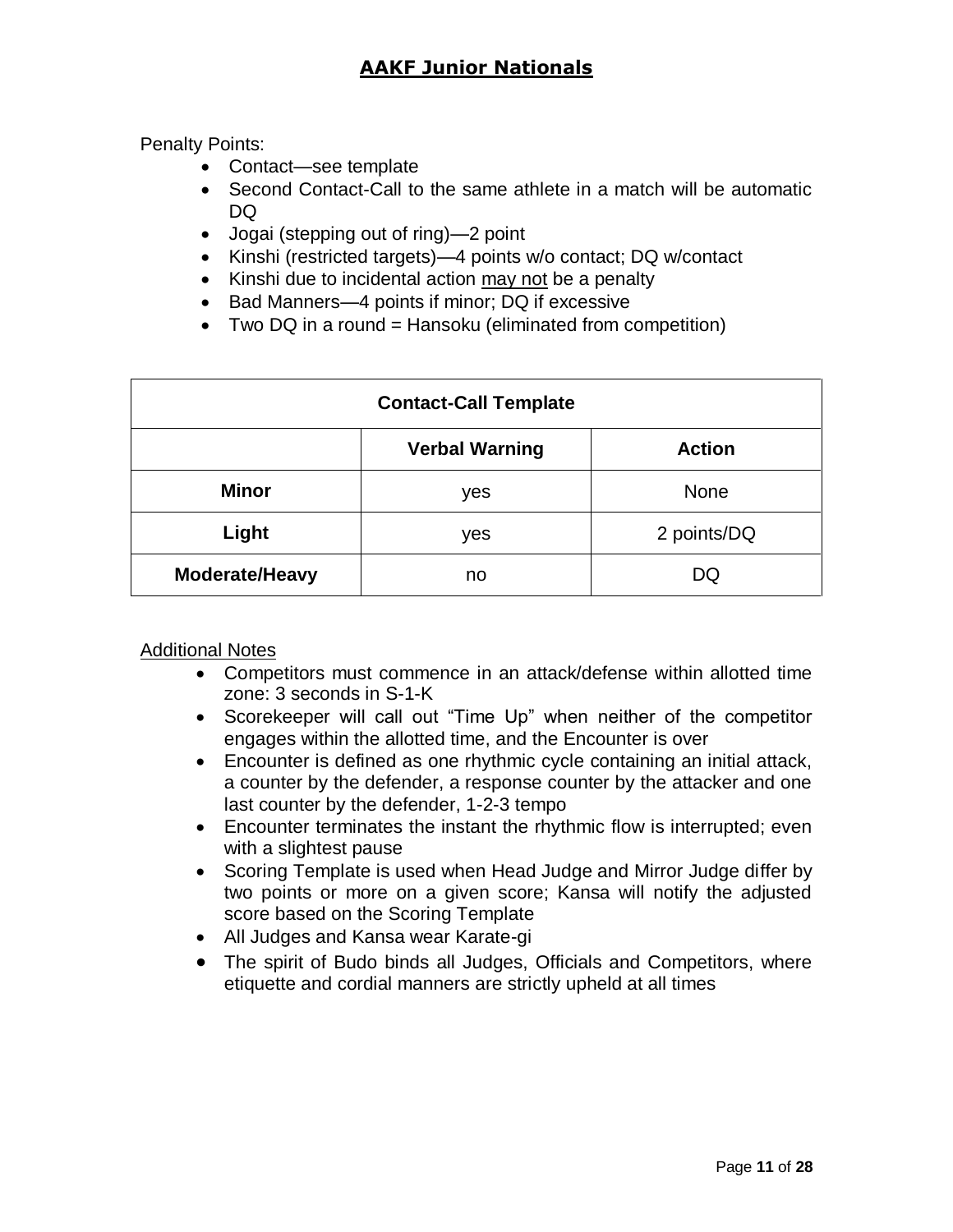Penalty Points:

- Contact—see template
- Second Contact-Call to the same athlete in a match will be automatic DQ
- Jogai (stepping out of ring)—2 point
- Kinshi (restricted targets)—4 points w/o contact; DQ w/contact
- Kinshi due to incidental action may not be a penalty
- Bad Manners—4 points if minor; DQ if excessive
- Two DQ in a round = Hansoku (eliminated from competition)

| <b>Contact-Call Template</b> |                                        |             |  |  |  |
|------------------------------|----------------------------------------|-------------|--|--|--|
|                              | <b>Verbal Warning</b><br><b>Action</b> |             |  |  |  |
| <b>Minor</b>                 | yes                                    | <b>None</b> |  |  |  |
| Light                        | yes                                    | 2 points/DQ |  |  |  |
| Moderate/Heavy               | no                                     | DQ          |  |  |  |

Additional Notes

- Competitors must commence in an attack/defense within allotted time zone: 3 seconds in S-1-K
- Scorekeeper will call out "Time Up" when neither of the competitor engages within the allotted time, and the Encounter is over
- Encounter is defined as one rhythmic cycle containing an initial attack, a counter by the defender, a response counter by the attacker and one last counter by the defender, 1-2-3 tempo
- Encounter terminates the instant the rhythmic flow is interrupted; even with a slightest pause
- Scoring Template is used when Head Judge and Mirror Judge differ by two points or more on a given score; Kansa will notify the adjusted score based on the Scoring Template
- All Judges and Kansa wear Karate-gi
- The spirit of Budo binds all Judges, Officials and Competitors, where etiquette and cordial manners are strictly upheld at all times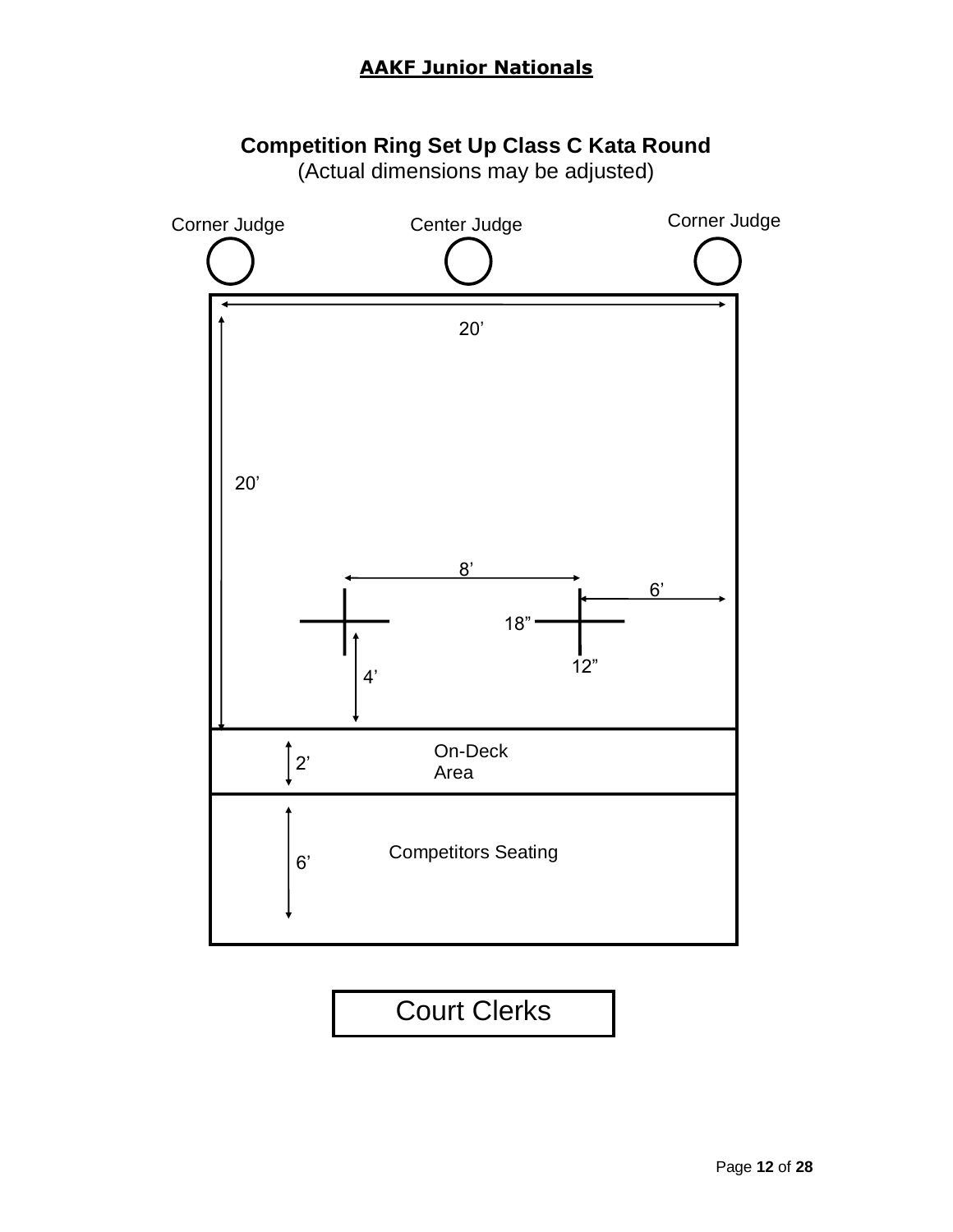### **Competition Ring Set Up Class C Kata Round**

(Actual dimensions may be adjusted)

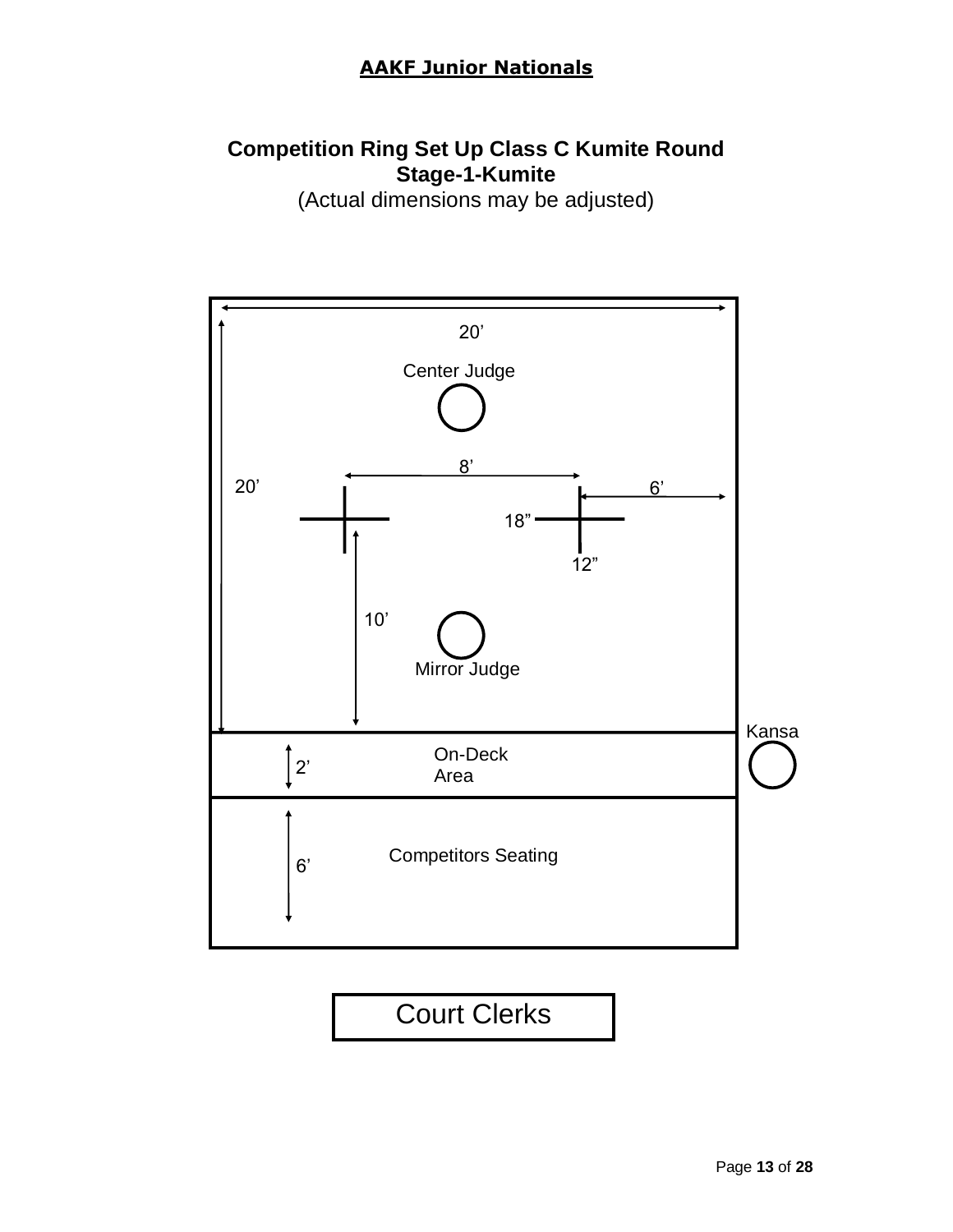## **Competition Ring Set Up Class C Kumite Round Stage-1-Kumite**

(Actual dimensions may be adjusted)

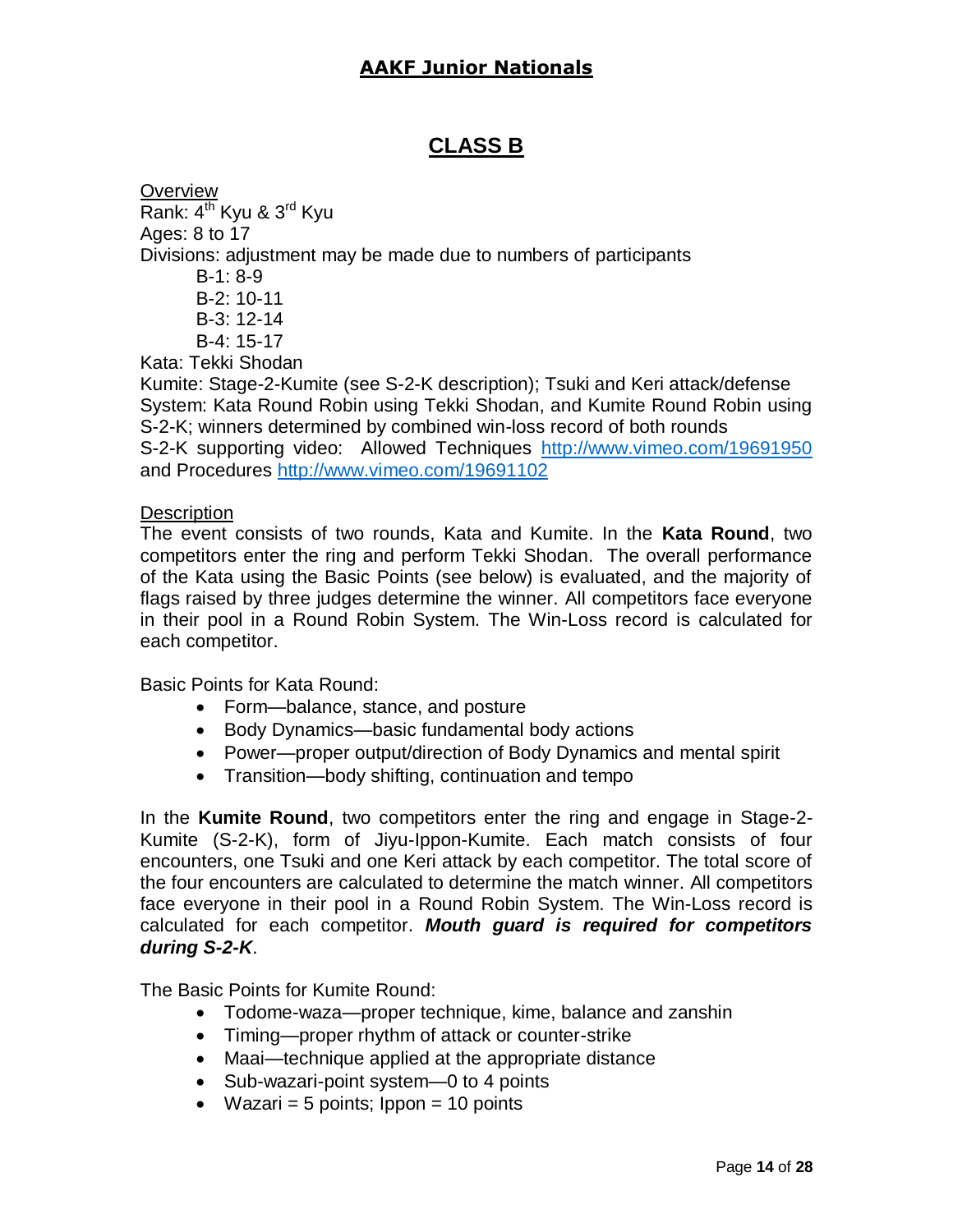### **CLASS B**

**Overview** Rank:  $4^{th}$  Kyu &  $3^{rd}$  Kyu Ages: 8 to 17 Divisions: adjustment may be made due to numbers of participants B-1: 8-9 B-2: 10-11 B-3: 12-14 B-4: 15-17 Kata: Tekki Shodan Kumite: Stage-2-Kumite (see S-2-K description); Tsuki and Keri attack/defense System: Kata Round Robin using Tekki Shodan, and Kumite Round Robin using S-2-K; winners determined by combined win-loss record of both rounds

S-2-K supporting video: Allowed Techniques <http://www.vimeo.com/19691950> and Procedures<http://www.vimeo.com/19691102>

#### **Description**

The event consists of two rounds, Kata and Kumite. In the **Kata Round**, two competitors enter the ring and perform Tekki Shodan. The overall performance of the Kata using the Basic Points (see below) is evaluated, and the majority of flags raised by three judges determine the winner. All competitors face everyone in their pool in a Round Robin System. The Win-Loss record is calculated for each competitor.

Basic Points for Kata Round:

- Form—balance, stance, and posture
- Body Dynamics—basic fundamental body actions
- Power—proper output/direction of Body Dynamics and mental spirit
- Transition—body shifting, continuation and tempo

In the **Kumite Round**, two competitors enter the ring and engage in Stage-2- Kumite (S-2-K), form of Jiyu-Ippon-Kumite. Each match consists of four encounters, one Tsuki and one Keri attack by each competitor. The total score of the four encounters are calculated to determine the match winner. All competitors face everyone in their pool in a Round Robin System. The Win-Loss record is calculated for each competitor. *Mouth guard is required for competitors during S-2-K*.

The Basic Points for Kumite Round:

- Todome-waza—proper technique, kime, balance and zanshin
- Timing—proper rhythm of attack or counter-strike
- Maai—technique applied at the appropriate distance
- Sub-wazari-point system—0 to 4 points
- Wazari = 5 points;  $10$  points = 10 points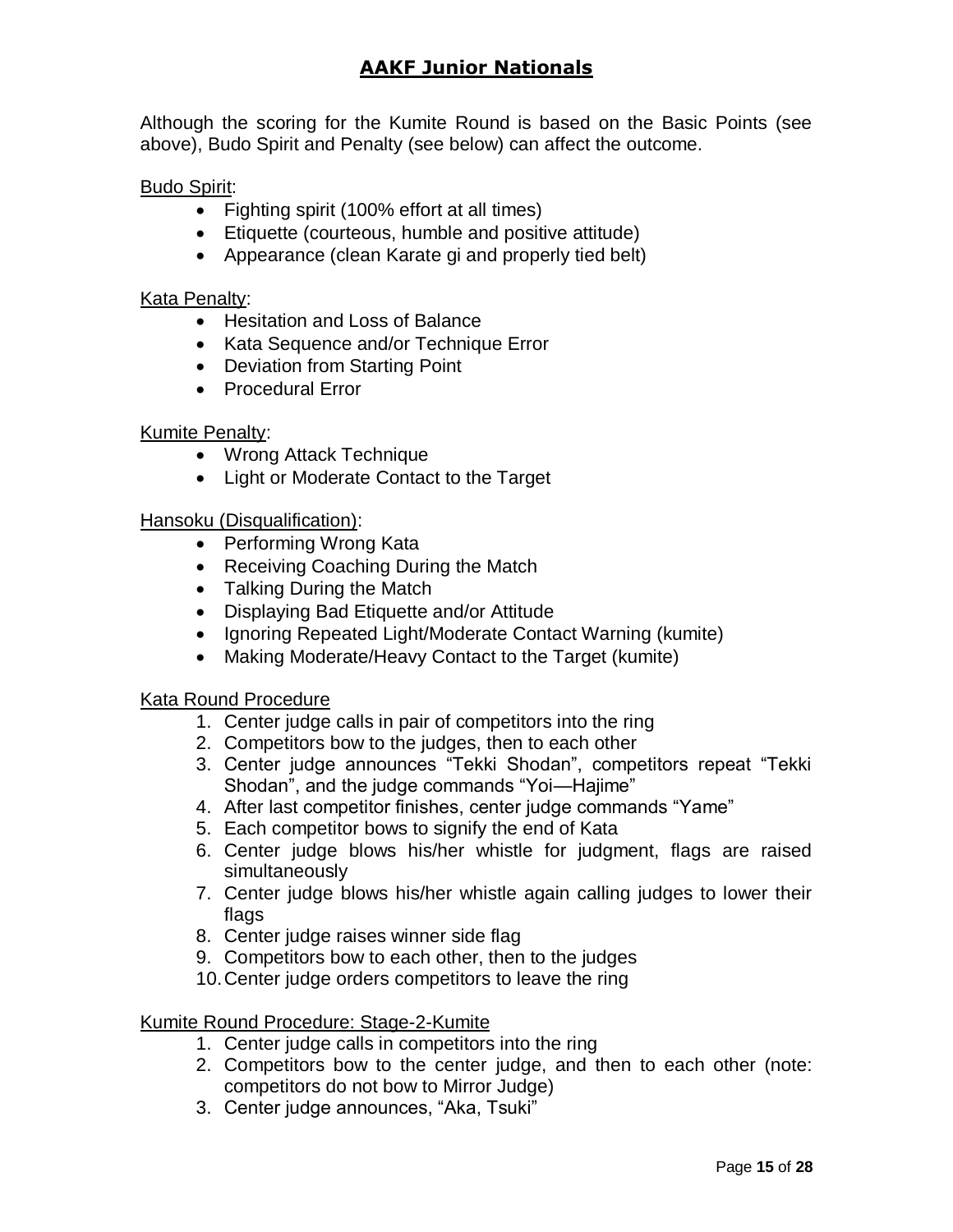Although the scoring for the Kumite Round is based on the Basic Points (see above), Budo Spirit and Penalty (see below) can affect the outcome.

#### Budo Spirit:

- Fighting spirit (100% effort at all times)
- Etiquette (courteous, humble and positive attitude)
- Appearance (clean Karate gi and properly tied belt)

#### Kata Penalty:

- Hesitation and Loss of Balance
- Kata Sequence and/or Technique Error
- Deviation from Starting Point
- Procedural Error

#### Kumite Penalty:

- Wrong Attack Technique
- Light or Moderate Contact to the Target

#### Hansoku (Disqualification):

- Performing Wrong Kata
- Receiving Coaching During the Match
- Talking During the Match
- Displaying Bad Etiquette and/or Attitude
- Ignoring Repeated Light/Moderate Contact Warning (kumite)
- Making Moderate/Heavy Contact to the Target (kumite)

#### Kata Round Procedure

- 1. Center judge calls in pair of competitors into the ring
- 2. Competitors bow to the judges, then to each other
- 3. Center judge announces "Tekki Shodan", competitors repeat "Tekki Shodan", and the judge commands "Yoi—Hajime"
- 4. After last competitor finishes, center judge commands "Yame"
- 5. Each competitor bows to signify the end of Kata
- 6. Center judge blows his/her whistle for judgment, flags are raised simultaneously
- 7. Center judge blows his/her whistle again calling judges to lower their flags
- 8. Center judge raises winner side flag
- 9. Competitors bow to each other, then to the judges
- 10.Center judge orders competitors to leave the ring

#### Kumite Round Procedure: Stage-2-Kumite

- 1. Center judge calls in competitors into the ring
- 2. Competitors bow to the center judge, and then to each other (note: competitors do not bow to Mirror Judge)
- 3. Center judge announces, "Aka, Tsuki"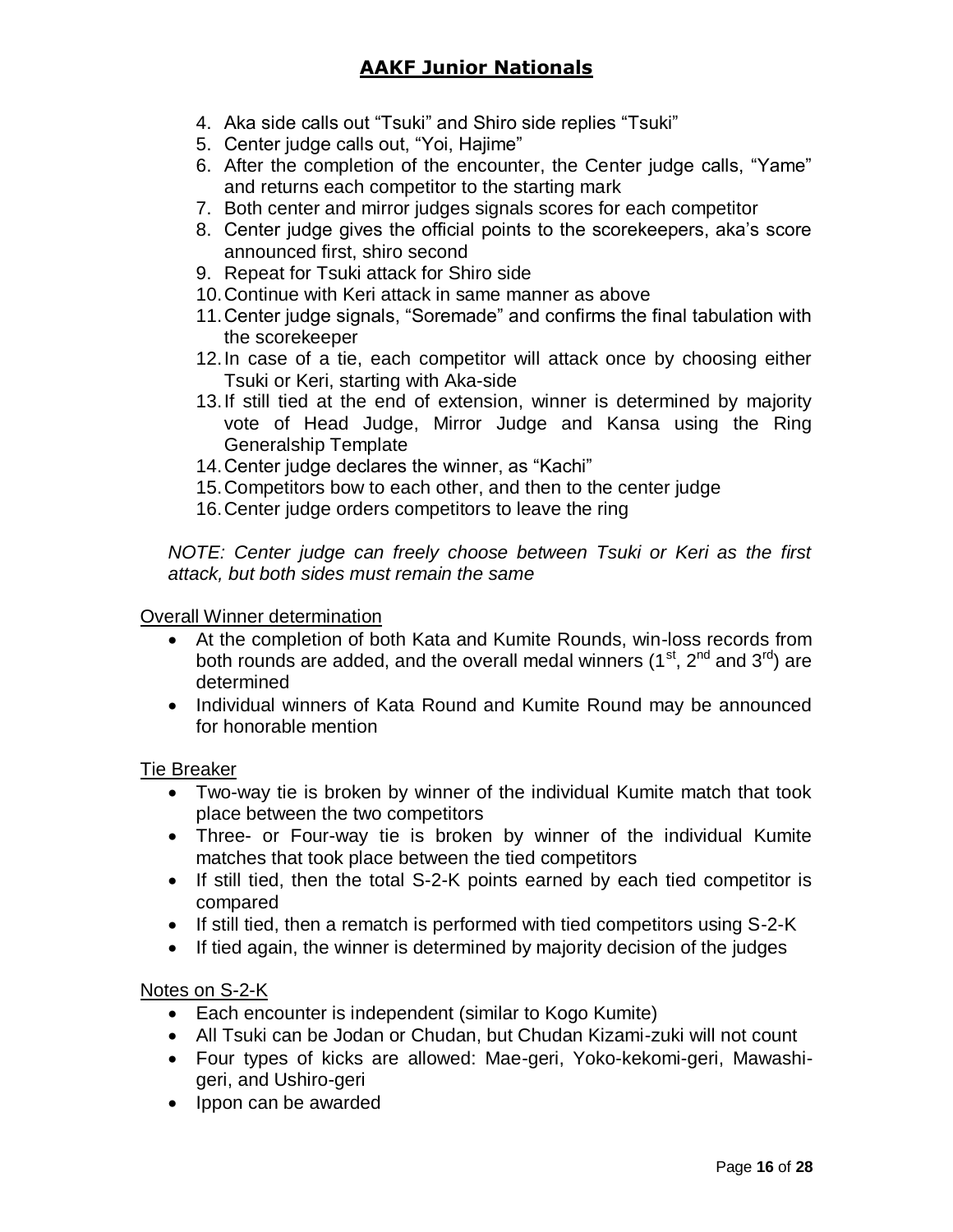- 4. Aka side calls out "Tsuki" and Shiro side replies "Tsuki"
- 5. Center judge calls out, "Yoi, Hajime"
- 6. After the completion of the encounter, the Center judge calls, "Yame" and returns each competitor to the starting mark
- 7. Both center and mirror judges signals scores for each competitor
- 8. Center judge gives the official points to the scorekeepers, aka's score announced first, shiro second
- 9. Repeat for Tsuki attack for Shiro side
- 10.Continue with Keri attack in same manner as above
- 11.Center judge signals, "Soremade" and confirms the final tabulation with the scorekeeper
- 12.In case of a tie, each competitor will attack once by choosing either Tsuki or Keri, starting with Aka-side
- 13.If still tied at the end of extension, winner is determined by majority vote of Head Judge, Mirror Judge and Kansa using the Ring Generalship Template
- 14.Center judge declares the winner, as "Kachi"
- 15.Competitors bow to each other, and then to the center judge
- 16.Center judge orders competitors to leave the ring

*NOTE: Center judge can freely choose between Tsuki or Keri as the first attack, but both sides must remain the same* 

#### Overall Winner determination

- At the completion of both Kata and Kumite Rounds, win-loss records from both rounds are added, and the overall medal winners  $(1<sup>st</sup>, 2<sup>nd</sup>$  and  $3<sup>rd</sup>)$  are determined
- Individual winners of Kata Round and Kumite Round may be announced for honorable mention

#### Tie Breaker

- Two-way tie is broken by winner of the individual Kumite match that took place between the two competitors
- Three- or Four-way tie is broken by winner of the individual Kumite matches that took place between the tied competitors
- If still tied, then the total S-2-K points earned by each tied competitor is compared
- If still tied, then a rematch is performed with tied competitors using S-2-K
- If tied again, the winner is determined by majority decision of the judges

#### Notes on S-2-K

- Each encounter is independent (similar to Kogo Kumite)
- All Tsuki can be Jodan or Chudan, but Chudan Kizami-zuki will not count
- Four types of kicks are allowed: Mae-geri, Yoko-kekomi-geri, Mawashigeri, and Ushiro-geri
- Ippon can be awarded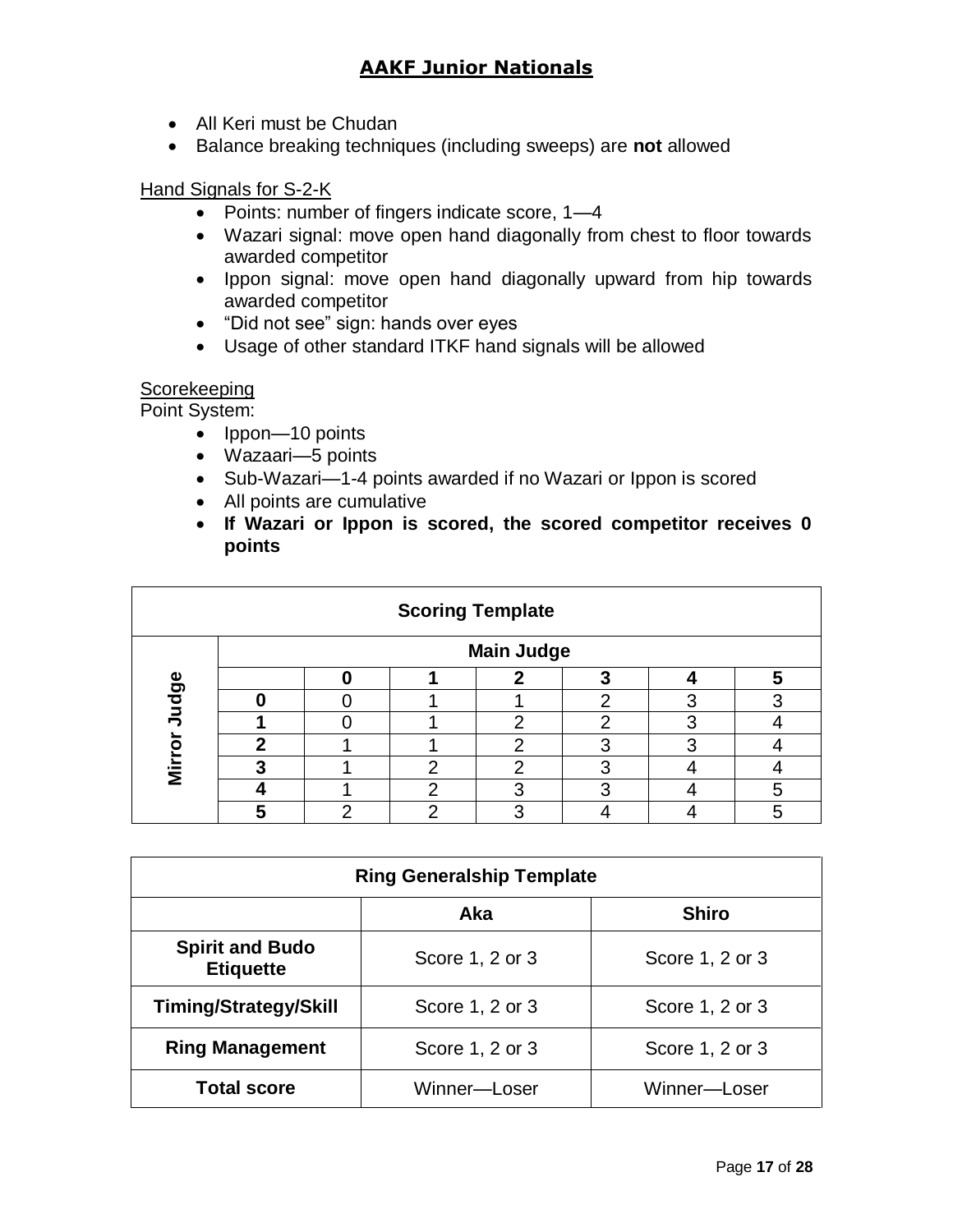- All Keri must be Chudan
- Balance breaking techniques (including sweeps) are **not** allowed

#### Hand Signals for S-2-K

- Points: number of fingers indicate score, 1-4
- Wazari signal: move open hand diagonally from chest to floor towards awarded competitor
- Ippon signal: move open hand diagonally upward from hip towards awarded competitor
- "Did not see" sign: hands over eyes
- Usage of other standard ITKF hand signals will be allowed

### **Scorekeeping**

Point System:

- Ippon—10 points
- Wazaari—5 points
- Sub-Wazari-1-4 points awarded if no Wazari or Ippon is scored
- All points are cumulative
- **If Wazari or Ippon is scored, the scored competitor receives 0 points**

| <b>Scoring Template</b> |   |  |   |                   |   |   |   |
|-------------------------|---|--|---|-------------------|---|---|---|
|                         |   |  |   | <b>Main Judge</b> |   |   |   |
|                         |   |  |   |                   |   |   | 5 |
| ludge                   |   |  |   |                   |   |   |   |
|                         |   |  |   | റ                 | o | o |   |
|                         | ∍ |  |   | ⌒                 |   | ◠ |   |
| Mirro                   |   |  | ⌒ | റ                 |   |   |   |
|                         |   |  | ◠ |                   |   |   |   |
|                         |   |  | ◠ |                   |   |   |   |

| <b>Ring Generalship Template</b>           |                 |                 |  |  |  |
|--------------------------------------------|-----------------|-----------------|--|--|--|
| <b>Shiro</b><br>Aka                        |                 |                 |  |  |  |
| <b>Spirit and Budo</b><br><b>Etiquette</b> | Score 1, 2 or 3 | Score 1, 2 or 3 |  |  |  |
| <b>Timing/Strategy/Skill</b>               | Score 1, 2 or 3 | Score 1, 2 or 3 |  |  |  |
| <b>Ring Management</b>                     | Score 1, 2 or 3 | Score 1, 2 or 3 |  |  |  |
| <b>Total score</b>                         | Winner-Loser    | Winner-Loser    |  |  |  |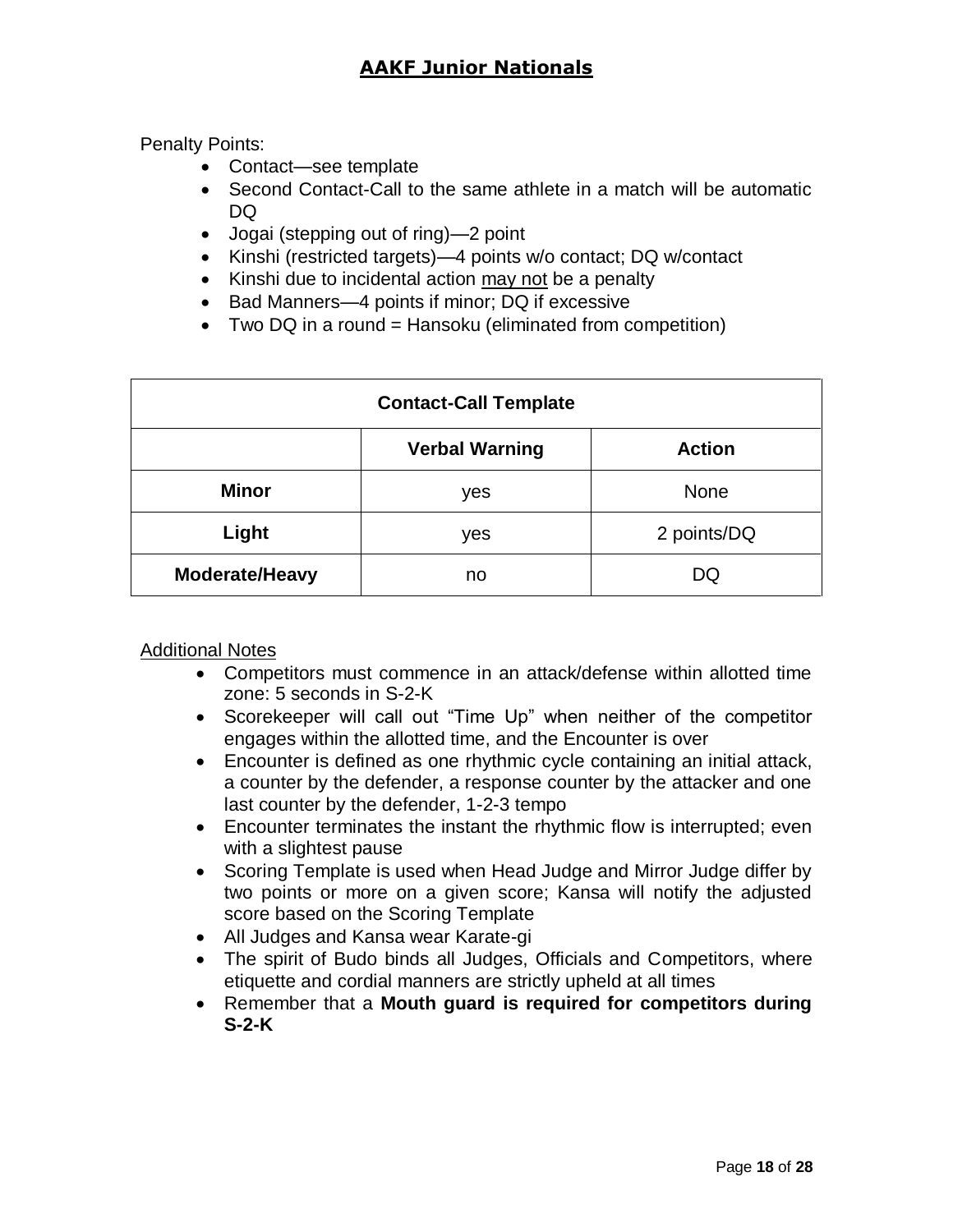Penalty Points:

- Contact—see template
- Second Contact-Call to the same athlete in a match will be automatic DQ
- Jogai (stepping out of ring)—2 point
- Kinshi (restricted targets)—4 points w/o contact; DQ w/contact
- Kinshi due to incidental action may not be a penalty
- Bad Manners—4 points if minor; DQ if excessive
- Two DQ in a round = Hansoku (eliminated from competition)

| <b>Contact-Call Template</b> |                                        |             |  |  |  |
|------------------------------|----------------------------------------|-------------|--|--|--|
|                              | <b>Verbal Warning</b><br><b>Action</b> |             |  |  |  |
| <b>Minor</b>                 | yes                                    | <b>None</b> |  |  |  |
| Light                        | yes                                    | 2 points/DQ |  |  |  |
| Moderate/Heavy               | no                                     | DQ          |  |  |  |

Additional Notes

- Competitors must commence in an attack/defense within allotted time zone: 5 seconds in S-2-K
- Scorekeeper will call out "Time Up" when neither of the competitor engages within the allotted time, and the Encounter is over
- Encounter is defined as one rhythmic cycle containing an initial attack, a counter by the defender, a response counter by the attacker and one last counter by the defender, 1-2-3 tempo
- Encounter terminates the instant the rhythmic flow is interrupted; even with a slightest pause
- Scoring Template is used when Head Judge and Mirror Judge differ by two points or more on a given score; Kansa will notify the adjusted score based on the Scoring Template
- All Judges and Kansa wear Karate-gi
- The spirit of Budo binds all Judges, Officials and Competitors, where etiquette and cordial manners are strictly upheld at all times
- Remember that a **Mouth guard is required for competitors during S-2-K**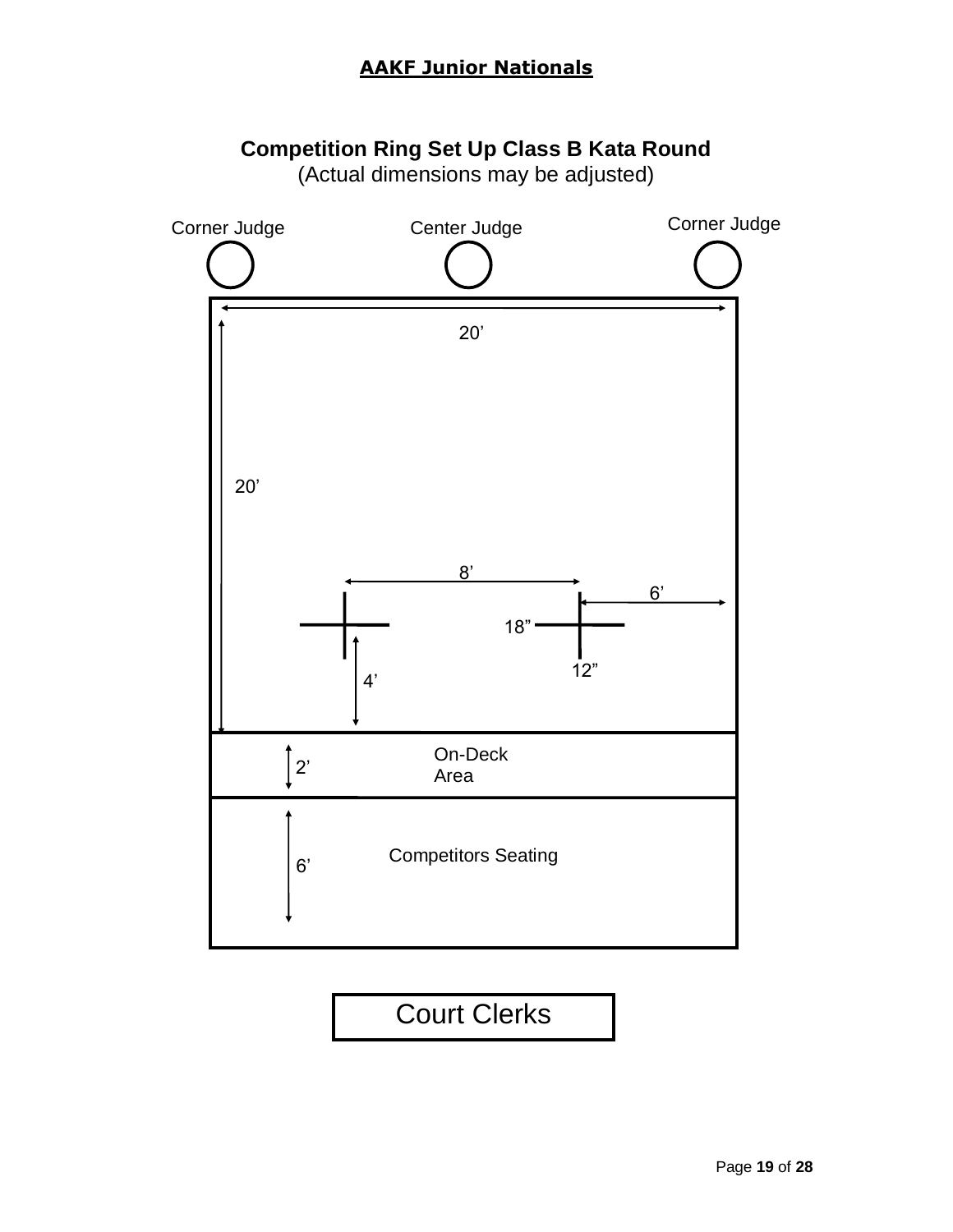# **Competition Ring Set Up Class B Kata Round**

(Actual dimensions may be adjusted)

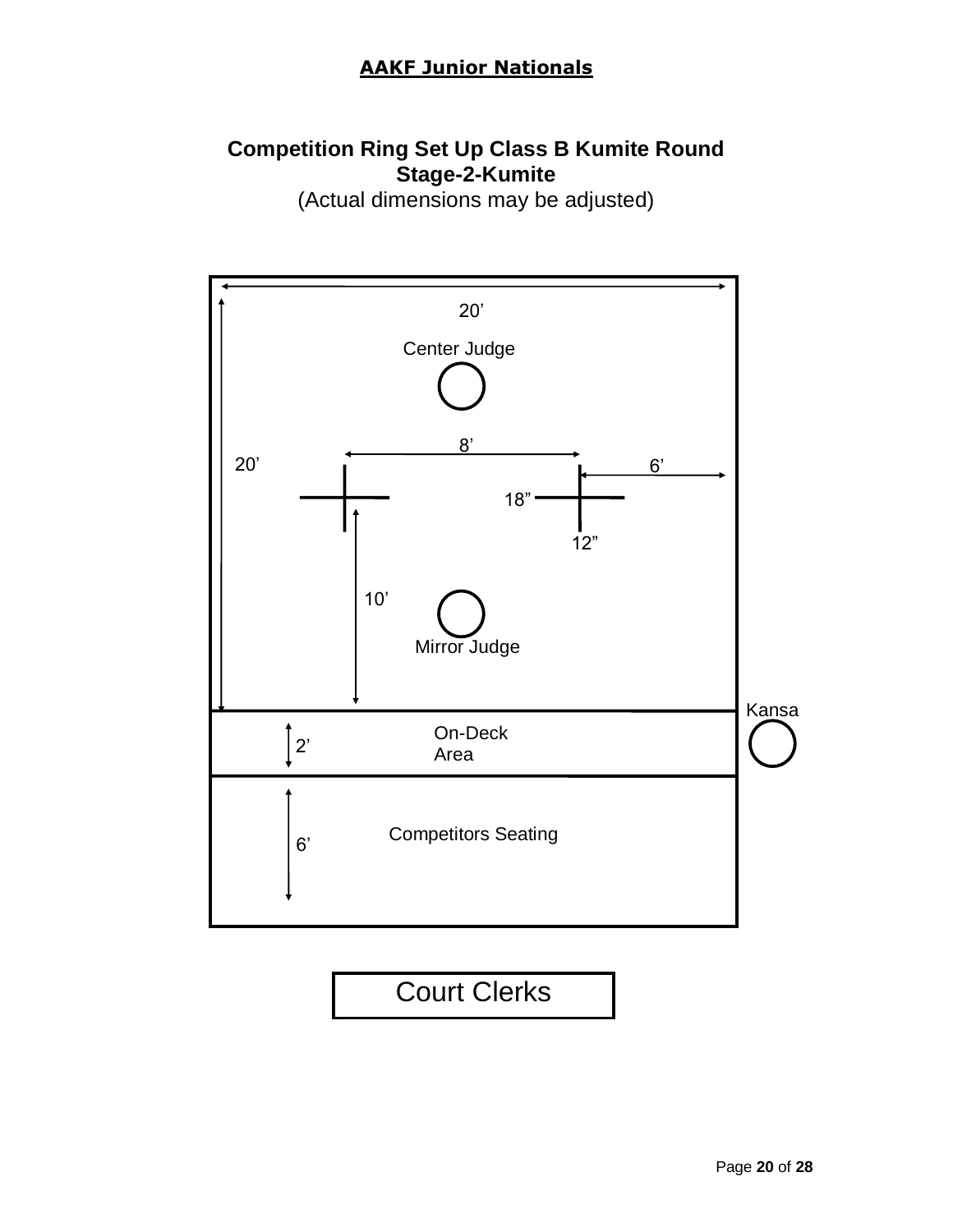### **Competition Ring Set Up Class B Kumite Round Stage-2-Kumite**

(Actual dimensions may be adjusted)

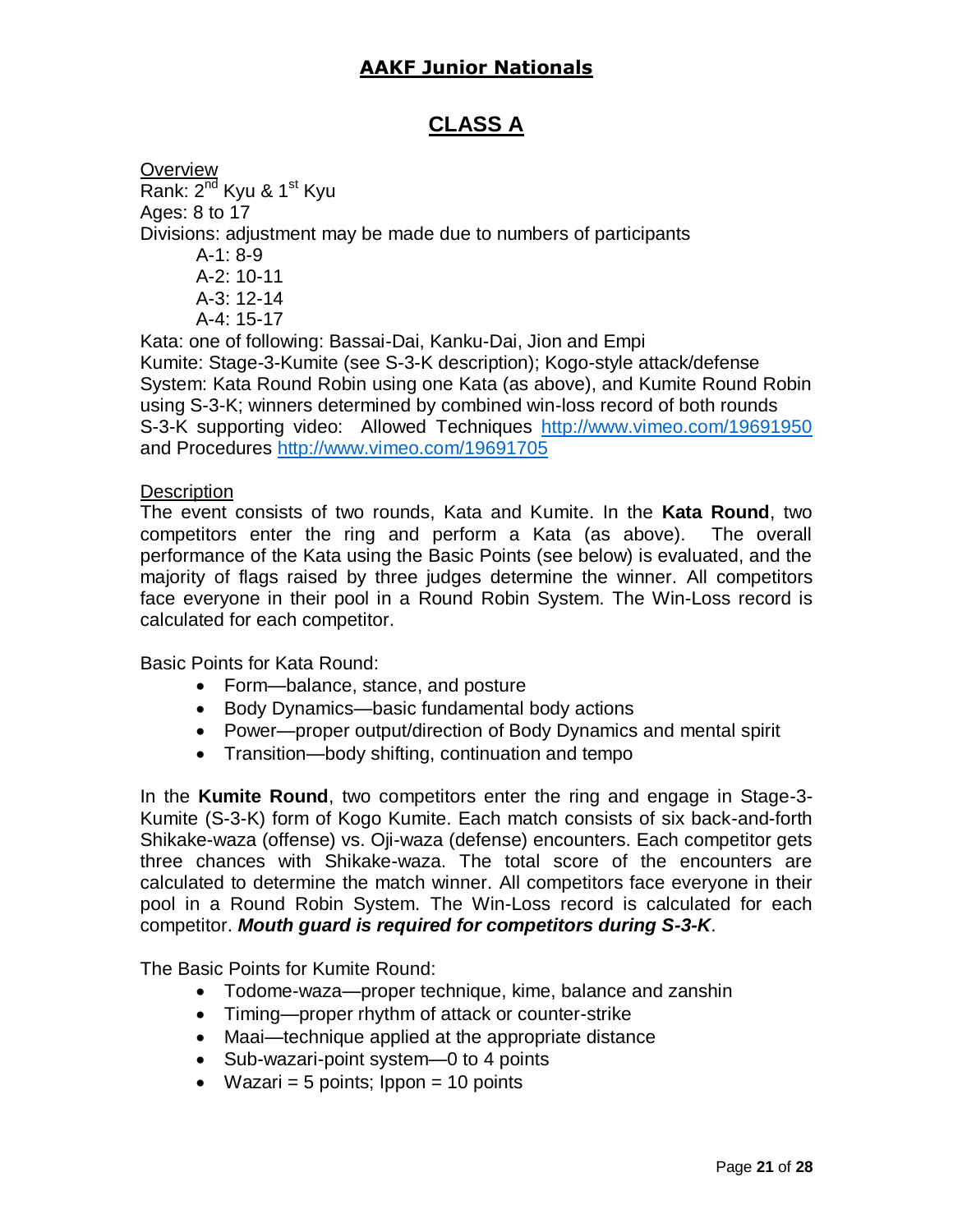### **CLASS A**

**Overview** Rank:  $2^{nd}$  Kyu & 1<sup>st</sup> Kyu Ages: 8 to 17 Divisions: adjustment may be made due to numbers of participants A-1: 8-9 A-2: 10-11 A-3: 12-14 A-4: 15-17 Kata: one of following: Bassai-Dai, Kanku-Dai, Jion and Empi Kumite: Stage-3-Kumite (see S-3-K description); Kogo-style attack/defense System: Kata Round Robin using one Kata (as above), and Kumite Round Robin using S-3-K; winners determined by combined win-loss record of both rounds S-3-K supporting video: Allowed Techniques <http://www.vimeo.com/19691950> and Procedures<http://www.vimeo.com/19691705>

#### Description

The event consists of two rounds, Kata and Kumite. In the **Kata Round**, two competitors enter the ring and perform a Kata (as above). The overall performance of the Kata using the Basic Points (see below) is evaluated, and the majority of flags raised by three judges determine the winner. All competitors face everyone in their pool in a Round Robin System. The Win-Loss record is calculated for each competitor.

Basic Points for Kata Round:

- Form—balance, stance, and posture
- Body Dynamics—basic fundamental body actions
- Power—proper output/direction of Body Dynamics and mental spirit
- Transition—body shifting, continuation and tempo

In the **Kumite Round**, two competitors enter the ring and engage in Stage-3- Kumite (S-3-K) form of Kogo Kumite. Each match consists of six back-and-forth Shikake-waza (offense) vs. Oji-waza (defense) encounters. Each competitor gets three chances with Shikake-waza. The total score of the encounters are calculated to determine the match winner. All competitors face everyone in their pool in a Round Robin System. The Win-Loss record is calculated for each competitor. *Mouth guard is required for competitors during S-3-K*.

The Basic Points for Kumite Round:

- Todome-waza—proper technique, kime, balance and zanshin
- Timing—proper rhythm of attack or counter-strike
- Maai—technique applied at the appropriate distance
- Sub-wazari-point system—0 to 4 points
- Wazari = 5 points;  $10$  points = 10 points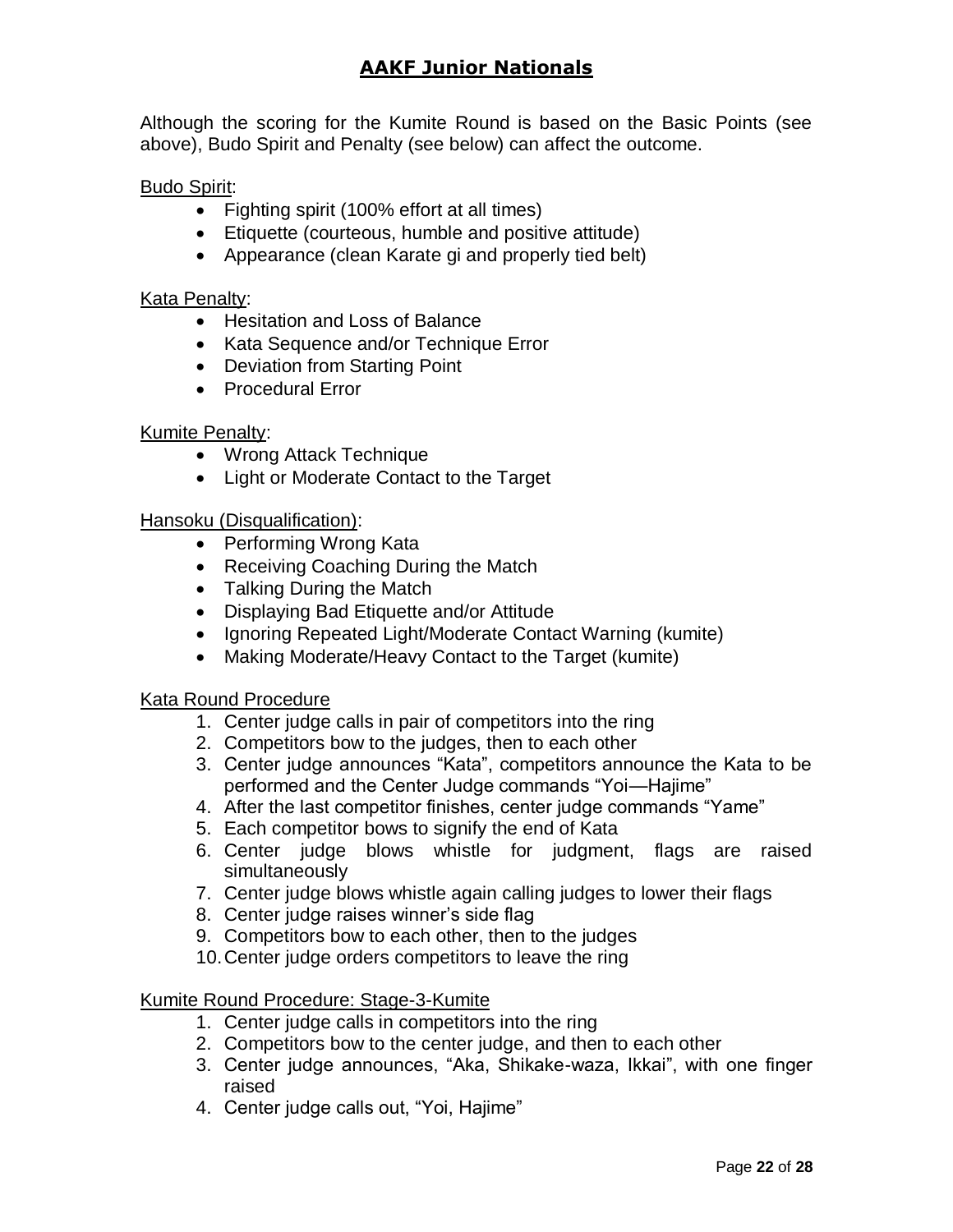Although the scoring for the Kumite Round is based on the Basic Points (see above), Budo Spirit and Penalty (see below) can affect the outcome.

#### Budo Spirit:

- Fighting spirit (100% effort at all times)
- Etiquette (courteous, humble and positive attitude)
- Appearance (clean Karate gi and properly tied belt)

#### Kata Penalty:

- Hesitation and Loss of Balance
- Kata Sequence and/or Technique Error
- Deviation from Starting Point
- Procedural Error

#### Kumite Penalty:

- Wrong Attack Technique
- Light or Moderate Contact to the Target

#### Hansoku (Disqualification):

- Performing Wrong Kata
- Receiving Coaching During the Match
- Talking During the Match
- Displaying Bad Etiquette and/or Attitude
- Ignoring Repeated Light/Moderate Contact Warning (kumite)
- Making Moderate/Heavy Contact to the Target (kumite)

#### Kata Round Procedure

- 1. Center judge calls in pair of competitors into the ring
- 2. Competitors bow to the judges, then to each other
- 3. Center judge announces "Kata", competitors announce the Kata to be performed and the Center Judge commands "Yoi—Hajime"
- 4. After the last competitor finishes, center judge commands "Yame"
- 5. Each competitor bows to signify the end of Kata
- 6. Center judge blows whistle for judgment, flags are raised simultaneously
- 7. Center judge blows whistle again calling judges to lower their flags
- 8. Center judge raises winner's side flag
- 9. Competitors bow to each other, then to the judges
- 10.Center judge orders competitors to leave the ring

#### Kumite Round Procedure: Stage-3-Kumite

- 1. Center judge calls in competitors into the ring
- 2. Competitors bow to the center judge, and then to each other
- 3. Center judge announces, "Aka, Shikake-waza, Ikkai", with one finger raised
- 4. Center judge calls out, "Yoi, Hajime"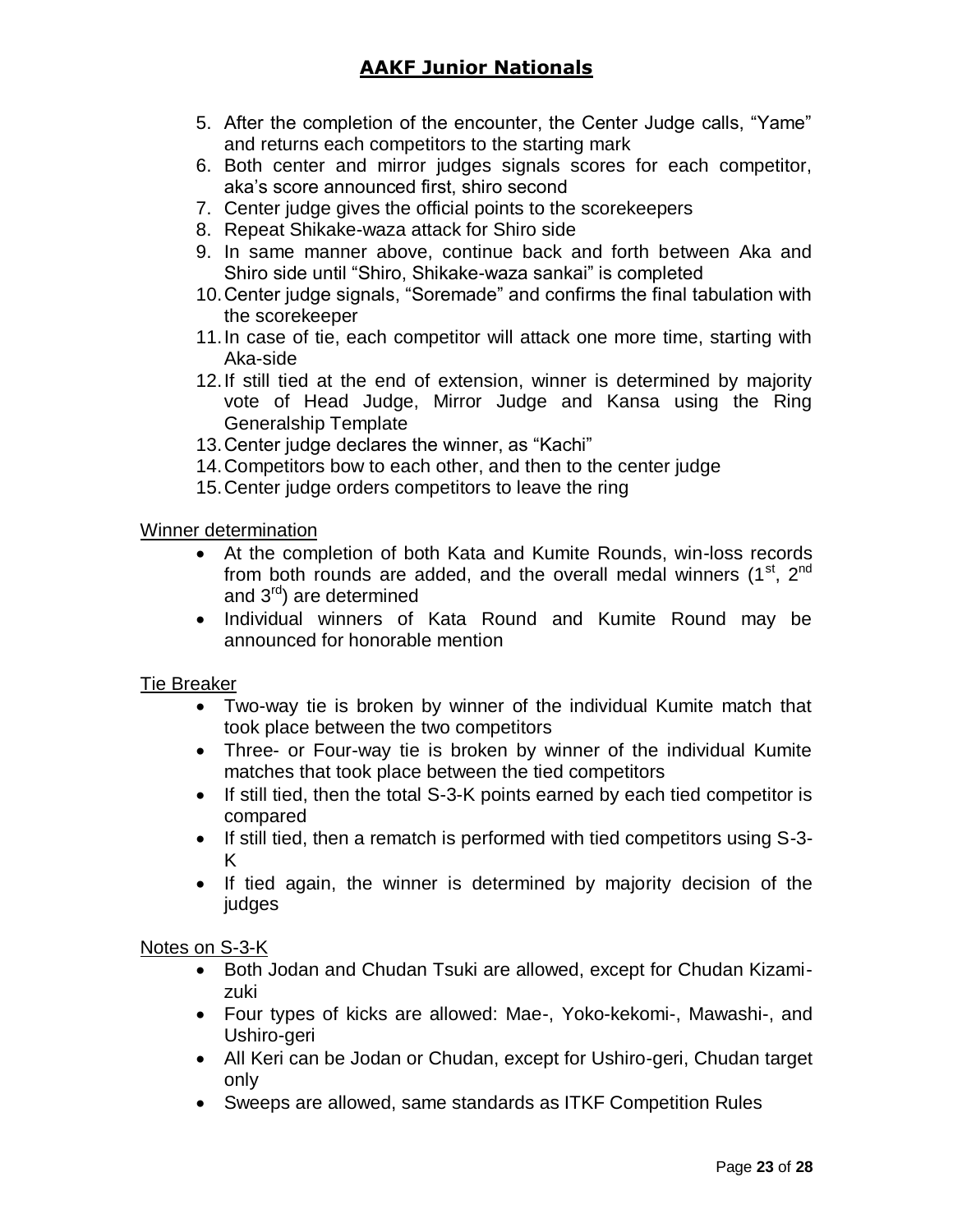- 5. After the completion of the encounter, the Center Judge calls, "Yame" and returns each competitors to the starting mark
- 6. Both center and mirror judges signals scores for each competitor, aka's score announced first, shiro second
- 7. Center judge gives the official points to the scorekeepers
- 8. Repeat Shikake-waza attack for Shiro side
- 9. In same manner above, continue back and forth between Aka and Shiro side until "Shiro, Shikake-waza sankai" is completed
- 10.Center judge signals, "Soremade" and confirms the final tabulation with the scorekeeper
- 11.In case of tie, each competitor will attack one more time, starting with Aka-side
- 12.If still tied at the end of extension, winner is determined by majority vote of Head Judge, Mirror Judge and Kansa using the Ring Generalship Template
- 13.Center judge declares the winner, as "Kachi"
- 14.Competitors bow to each other, and then to the center judge
- 15.Center judge orders competitors to leave the ring

#### Winner determination

- At the completion of both Kata and Kumite Rounds, win-loss records from both rounds are added, and the overall medal winners  $(1<sup>st</sup>, 2<sup>nd</sup>)$ and 3rd) are determined
- Individual winners of Kata Round and Kumite Round may be announced for honorable mention

#### Tie Breaker

- Two-way tie is broken by winner of the individual Kumite match that took place between the two competitors
- Three- or Four-way tie is broken by winner of the individual Kumite matches that took place between the tied competitors
- If still tied, then the total S-3-K points earned by each tied competitor is compared
- If still tied, then a rematch is performed with tied competitors using S-3- K
- If tied again, the winner is determined by majority decision of the judges

#### Notes on S-3-K

- Both Jodan and Chudan Tsuki are allowed, except for Chudan Kizamizuki
- Four types of kicks are allowed: Mae-, Yoko-kekomi-, Mawashi-, and Ushiro-geri
- All Keri can be Jodan or Chudan, except for Ushiro-geri, Chudan target only
- Sweeps are allowed, same standards as ITKF Competition Rules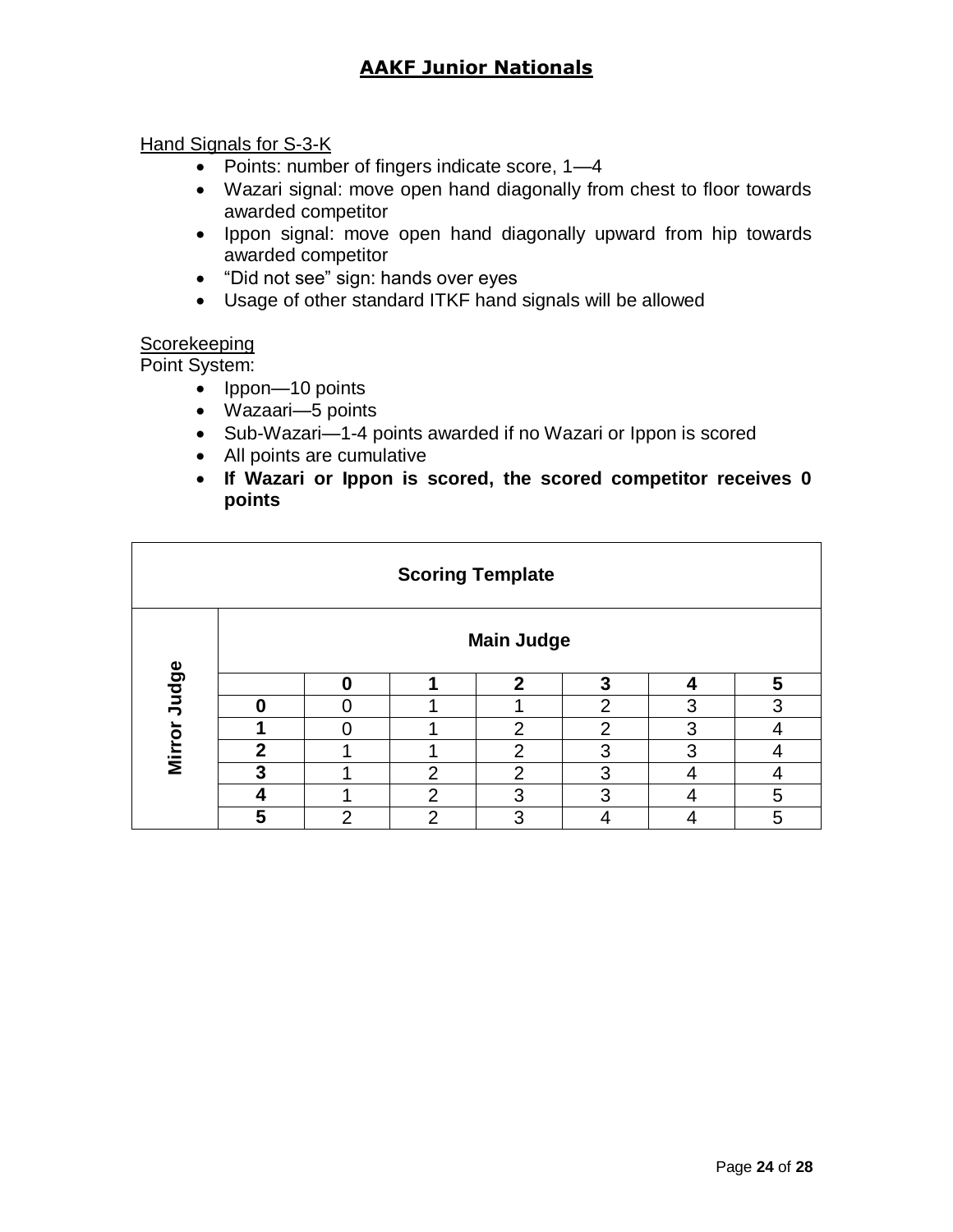#### Hand Signals for S-3-K

- Points: number of fingers indicate score, 1-4
- Wazari signal: move open hand diagonally from chest to floor towards awarded competitor
- Ippon signal: move open hand diagonally upward from hip towards awarded competitor
- "Did not see" sign: hands over eyes
- Usage of other standard ITKF hand signals will be allowed

### **Scorekeeping**

Point System:

- Ippon—10 points
- Wazaari—5 points
- Sub-Wazari-1-4 points awarded if no Wazari or Ippon is scored
- All points are cumulative
- **If Wazari or Ippon is scored, the scored competitor receives 0 points**

| <b>Scoring Template</b> |                   |   |                |              |                |   |   |
|-------------------------|-------------------|---|----------------|--------------|----------------|---|---|
|                         | <b>Main Judge</b> |   |                |              |                |   |   |
| Judge                   |                   |   |                | $\mathbf{c}$ | ני             |   | 5 |
|                         |                   |   |                |              | $\overline{2}$ | 3 | 3 |
|                         |                   |   |                | 2            | $\overline{2}$ | 3 |   |
| <b>Mirror</b>           | ኅ                 |   |                | າ            | ◠              | 3 |   |
|                         | 3                 |   | $\overline{2}$ | າ            | 3              |   |   |
|                         |                   |   | $\mathcal{P}$  | 3            | 3              |   | 5 |
|                         | 5                 | ⌒ | ົ              | າ            |                |   | 5 |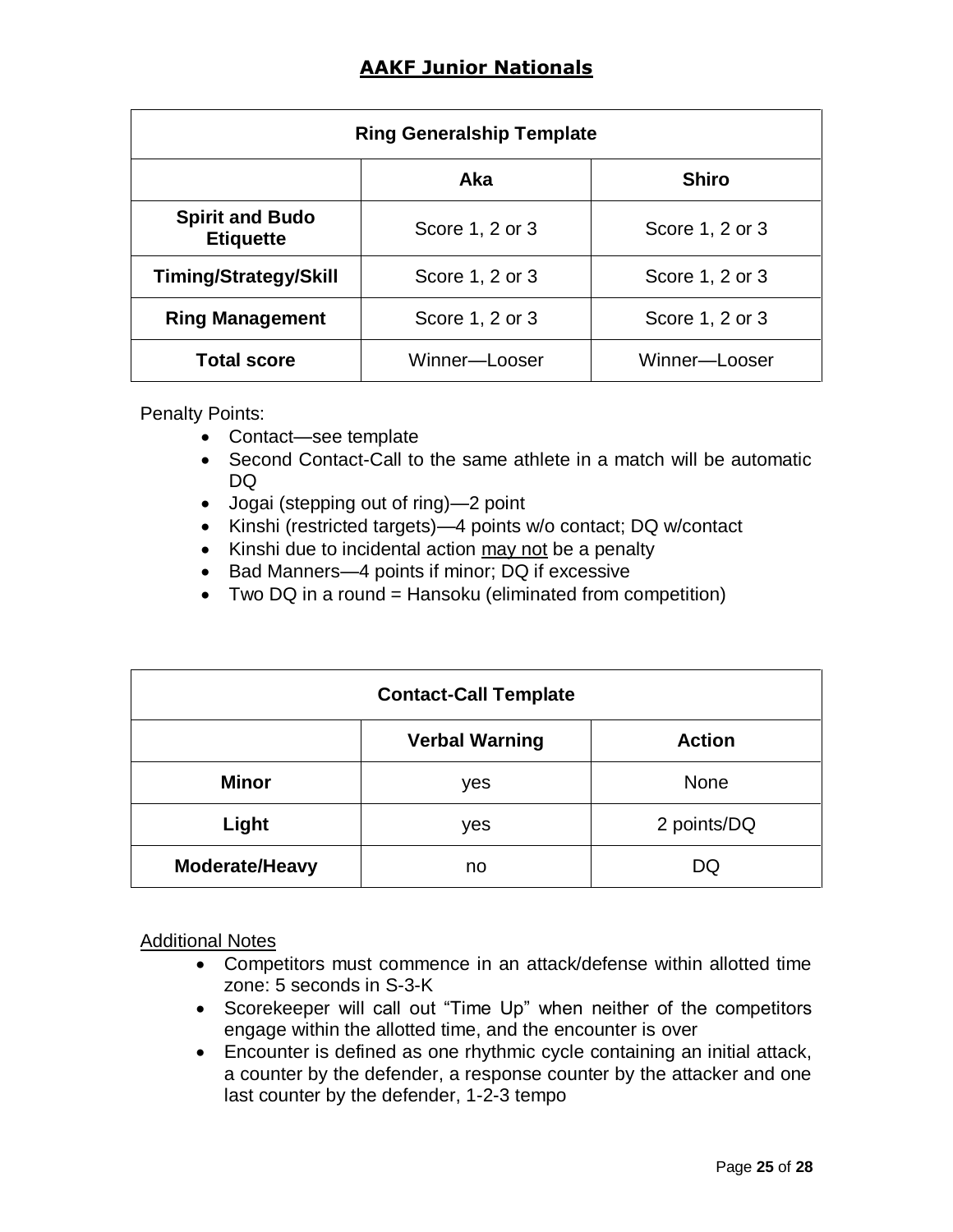| <b>Ring Generalship Template</b>           |                 |                 |  |  |  |
|--------------------------------------------|-----------------|-----------------|--|--|--|
| <b>Shiro</b><br><b>Aka</b>                 |                 |                 |  |  |  |
| <b>Spirit and Budo</b><br><b>Etiquette</b> | Score 1, 2 or 3 | Score 1, 2 or 3 |  |  |  |
| <b>Timing/Strategy/Skill</b>               | Score 1, 2 or 3 | Score 1, 2 or 3 |  |  |  |
| <b>Ring Management</b>                     | Score 1, 2 or 3 | Score 1, 2 or 3 |  |  |  |
| <b>Total score</b>                         | Winner-Looser   | Winner-Looser   |  |  |  |

Penalty Points:

- Contact—see template
- Second Contact-Call to the same athlete in a match will be automatic DQ
- Jogai (stepping out of ring)—2 point
- Kinshi (restricted targets)—4 points w/o contact; DQ w/contact
- Kinshi due to incidental action may not be a penalty
- Bad Manners-4 points if minor; DQ if excessive
- Two DQ in a round = Hansoku (eliminated from competition)

| <b>Contact-Call Template</b> |                                        |             |  |  |  |
|------------------------------|----------------------------------------|-------------|--|--|--|
|                              | <b>Verbal Warning</b><br><b>Action</b> |             |  |  |  |
| <b>Minor</b>                 | yes                                    | <b>None</b> |  |  |  |
| Light                        | yes                                    | 2 points/DQ |  |  |  |
| Moderate/Heavy               | no                                     | DQ          |  |  |  |

Additional Notes

- Competitors must commence in an attack/defense within allotted time zone: 5 seconds in S-3-K
- Scorekeeper will call out "Time Up" when neither of the competitors engage within the allotted time, and the encounter is over
- Encounter is defined as one rhythmic cycle containing an initial attack, a counter by the defender, a response counter by the attacker and one last counter by the defender, 1-2-3 tempo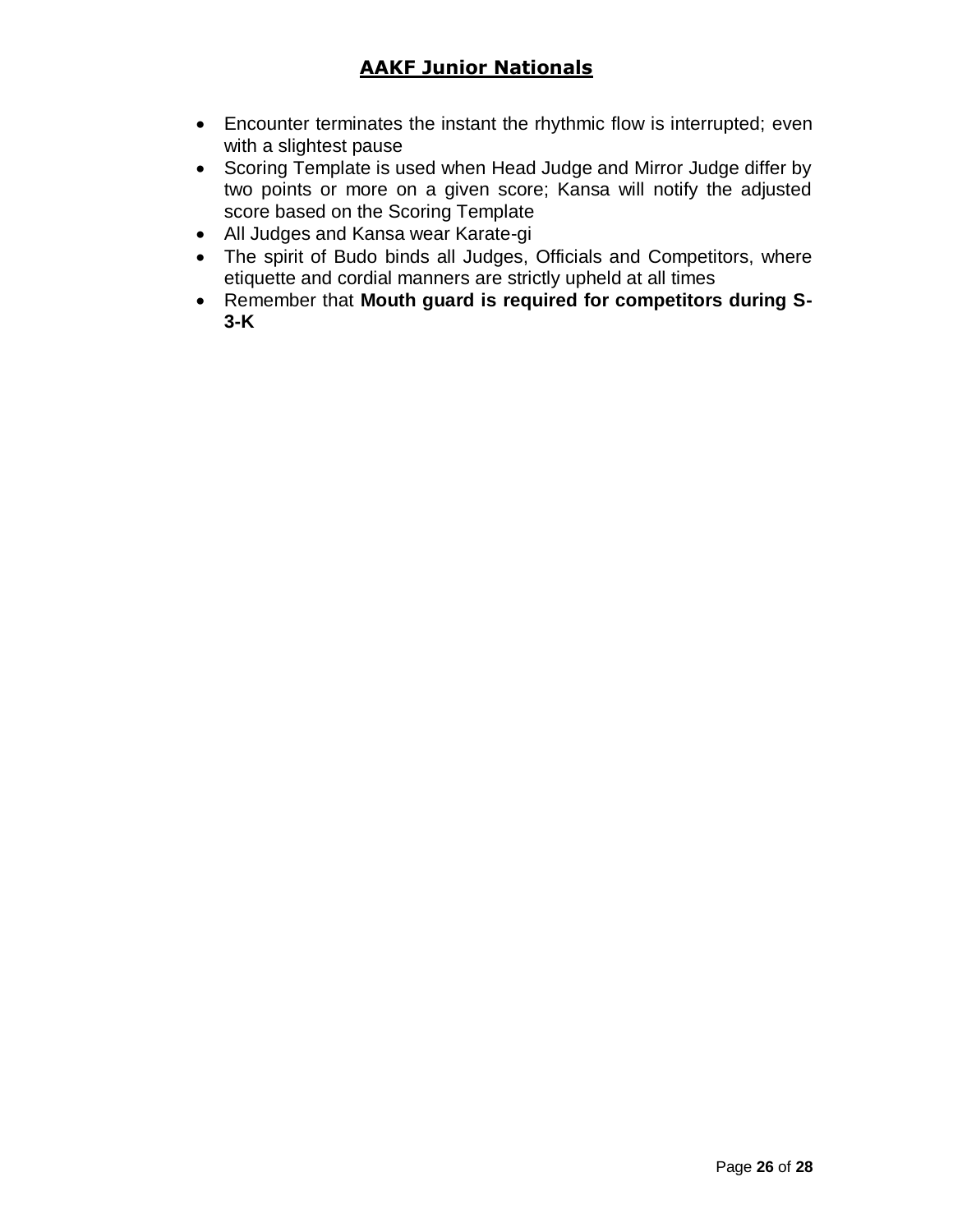- Encounter terminates the instant the rhythmic flow is interrupted; even with a slightest pause
- Scoring Template is used when Head Judge and Mirror Judge differ by two points or more on a given score; Kansa will notify the adjusted score based on the Scoring Template
- All Judges and Kansa wear Karate-gi
- The spirit of Budo binds all Judges, Officials and Competitors, where etiquette and cordial manners are strictly upheld at all times
- Remember that **Mouth guard is required for competitors during S-3-K**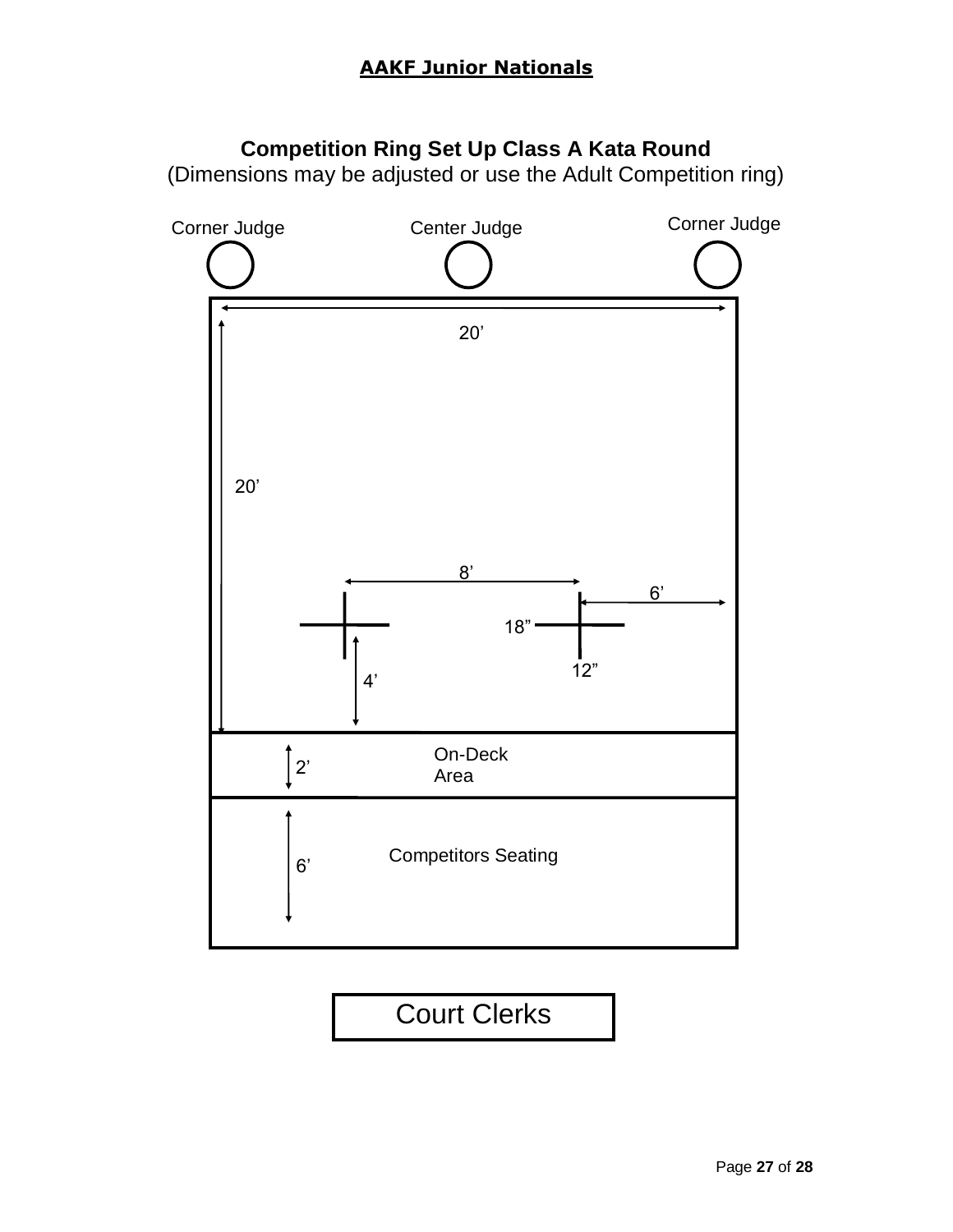# **Competition Ring Set Up Class A Kata Round**

(Dimensions may be adjusted or use the Adult Competition ring)